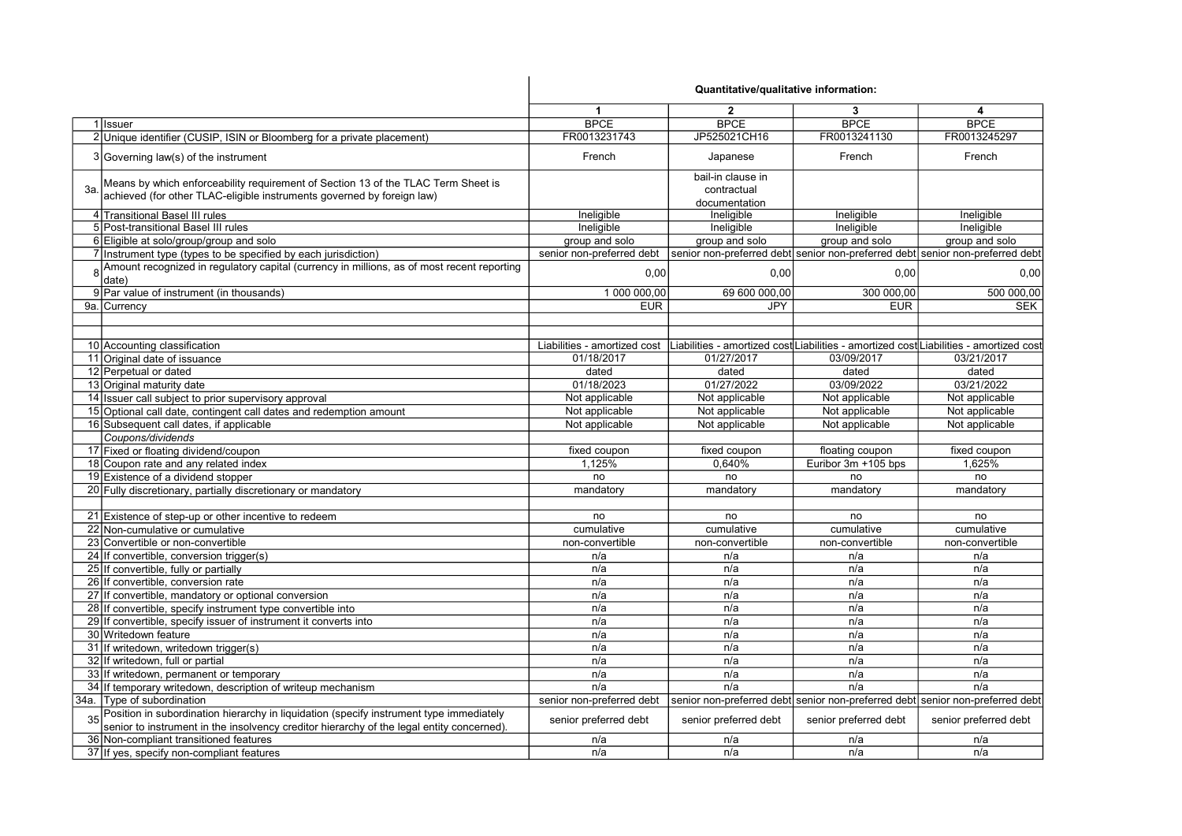|    |                                                                                                                                                                                      | Quantitative/qualitative information: |                                                   |                       |                                                                                        |
|----|--------------------------------------------------------------------------------------------------------------------------------------------------------------------------------------|---------------------------------------|---------------------------------------------------|-----------------------|----------------------------------------------------------------------------------------|
|    |                                                                                                                                                                                      | $\blacktriangleleft$                  | $\overline{2}$                                    | 3                     | 4                                                                                      |
|    | 1 Issuer                                                                                                                                                                             | <b>BPCE</b>                           | <b>BPCE</b>                                       | <b>BPCE</b>           | <b>BPCE</b>                                                                            |
|    | 2 Unique identifier (CUSIP, ISIN or Bloomberg for a private placement)                                                                                                               | FR0013231743                          | JP525021CH16                                      | FR0013241130          | FR0013245297                                                                           |
|    | 3 Governing law(s) of the instrument                                                                                                                                                 | French                                | Japanese                                          | French                | French                                                                                 |
| 3a | Means by which enforceability requirement of Section 13 of the TLAC Term Sheet is<br>achieved (for other TLAC-eligible instruments governed by foreign law)                          |                                       | bail-in clause in<br>contractual<br>documentation |                       |                                                                                        |
|    | 4 Transitional Basel III rules                                                                                                                                                       | Ineligible                            | Ineligible                                        | Ineligible            | Ineligible                                                                             |
|    | 5 Post-transitional Basel III rules                                                                                                                                                  | Ineligible                            | Ineligible                                        | Ineligible            | Ineligible                                                                             |
|    | 6 Eligible at solo/group/group and solo                                                                                                                                              | group and solo                        | group and solo                                    | group and solo        | group and solo                                                                         |
|    | 7 Instrument type (types to be specified by each jurisdiction)                                                                                                                       | senior non-preferred debt             |                                                   |                       | senior non-preferred debt senior non-preferred debt senior non-preferred debt          |
|    | 8 Amount recognized in regulatory capital (currency in millions, as of most recent reporting<br>date)                                                                                | 0,00                                  | 0,00                                              | 0,00                  | 0,00                                                                                   |
|    | 9 Par value of instrument (in thousands)                                                                                                                                             | 1 000 000,00                          | 69 600 000,00                                     | 300 000.00            | 500 000,00                                                                             |
|    | 9a. Currency                                                                                                                                                                         | <b>EUR</b>                            | <b>JPY</b>                                        | <b>EUR</b>            | <b>SEK</b>                                                                             |
|    |                                                                                                                                                                                      |                                       |                                                   |                       |                                                                                        |
|    | 10 Accounting classification                                                                                                                                                         | Liabilities - amortized cost          |                                                   |                       | Liabilities - amortized cost Liabilities - amortized cost Liabilities - amortized cost |
|    | 11 Original date of issuance                                                                                                                                                         | 01/18/2017                            | 01/27/2017                                        | 03/09/2017            | 03/21/2017                                                                             |
|    | 12 Perpetual or dated                                                                                                                                                                | dated                                 | dated                                             | dated                 | dated                                                                                  |
|    | 13 Original maturity date                                                                                                                                                            | 01/18/2023                            | 01/27/2022                                        | 03/09/2022            | 03/21/2022                                                                             |
|    | 14 Issuer call subject to prior supervisory approval                                                                                                                                 | Not applicable                        | Not applicable                                    | Not applicable        | Not applicable                                                                         |
|    | 15 Optional call date, contingent call dates and redemption amount                                                                                                                   | Not applicable                        | Not applicable                                    | Not applicable        | Not applicable                                                                         |
|    | 16 Subsequent call dates, if applicable                                                                                                                                              | Not applicable                        | Not applicable                                    | Not applicable        | Not applicable                                                                         |
|    | Coupons/dividends                                                                                                                                                                    |                                       |                                                   |                       |                                                                                        |
|    | 17 Fixed or floating dividend/coupon                                                                                                                                                 | fixed coupon                          | fixed coupon                                      | floating coupon       | fixed coupon                                                                           |
|    | 18 Coupon rate and any related index                                                                                                                                                 | 1,125%                                | 0.640%                                            | Euribor 3m +105 bps   | 1,625%                                                                                 |
|    | 19 Existence of a dividend stopper                                                                                                                                                   | no                                    | no                                                | no                    | no                                                                                     |
|    | 20 Fully discretionary, partially discretionary or mandatory                                                                                                                         | mandatory                             | mandatory                                         | mandatory             | mandatory                                                                              |
|    |                                                                                                                                                                                      |                                       |                                                   |                       |                                                                                        |
|    | 21 Existence of step-up or other incentive to redeem                                                                                                                                 | no                                    | no                                                | no                    | no                                                                                     |
|    | 22 Non-cumulative or cumulative                                                                                                                                                      | cumulative                            | cumulative                                        | cumulative            | cumulative                                                                             |
|    | 23 Convertible or non-convertible                                                                                                                                                    | non-convertible                       | non-convertible                                   | non-convertible       | non-convertible                                                                        |
|    | 24 If convertible, conversion trigger(s)                                                                                                                                             | n/a                                   | n/a                                               | n/a                   | n/a                                                                                    |
|    | 25 If convertible, fully or partially                                                                                                                                                | n/a                                   | n/a                                               | n/a                   | n/a                                                                                    |
|    | 26 If convertible, conversion rate                                                                                                                                                   | n/a                                   | n/a                                               | n/a                   | n/a                                                                                    |
|    | 27 If convertible, mandatory or optional conversion                                                                                                                                  | n/a                                   | n/a                                               | n/a                   | n/a                                                                                    |
|    | 28 If convertible, specify instrument type convertible into                                                                                                                          | n/a                                   | n/a                                               | n/a                   | n/a                                                                                    |
|    | 29 If convertible, specify issuer of instrument it converts into                                                                                                                     | n/a                                   | n/a                                               | n/a                   | n/a                                                                                    |
|    | 30 Writedown feature                                                                                                                                                                 | n/a                                   | n/a                                               | n/a                   | n/a                                                                                    |
|    | 31 If writedown, writedown trigger(s)                                                                                                                                                | n/a                                   | n/a                                               | n/a                   | n/a                                                                                    |
|    | 32 If writedown, full or partial                                                                                                                                                     | n/a                                   | n/a                                               | n/a                   | n/a                                                                                    |
|    | 33 If writedown, permanent or temporary                                                                                                                                              | n/a                                   | n/a                                               | n/a                   | n/a                                                                                    |
|    | 34 If temporary writedown, description of writeup mechanism                                                                                                                          | n/a                                   | n/a                                               | n/a                   | n/a                                                                                    |
|    | 34a. Type of subordination                                                                                                                                                           | senior non-preferred debt             |                                                   |                       | senior non-preferred debt senior non-preferred debt senior non-preferred debt          |
|    | Position in subordination hierarchy in liquidation (specify instrument type immediately<br>senior to instrument in the insolvency creditor hierarchy of the legal entity concerned). | senior preferred debt                 | senior preferred debt                             | senior preferred debt | senior preferred debt                                                                  |
|    | 36 Non-compliant transitioned features                                                                                                                                               | n/a                                   | n/a                                               | n/a                   | n/a                                                                                    |
|    | 37 If yes, specify non-compliant features                                                                                                                                            | n/a                                   | n/a                                               | n/a                   | n/a                                                                                    |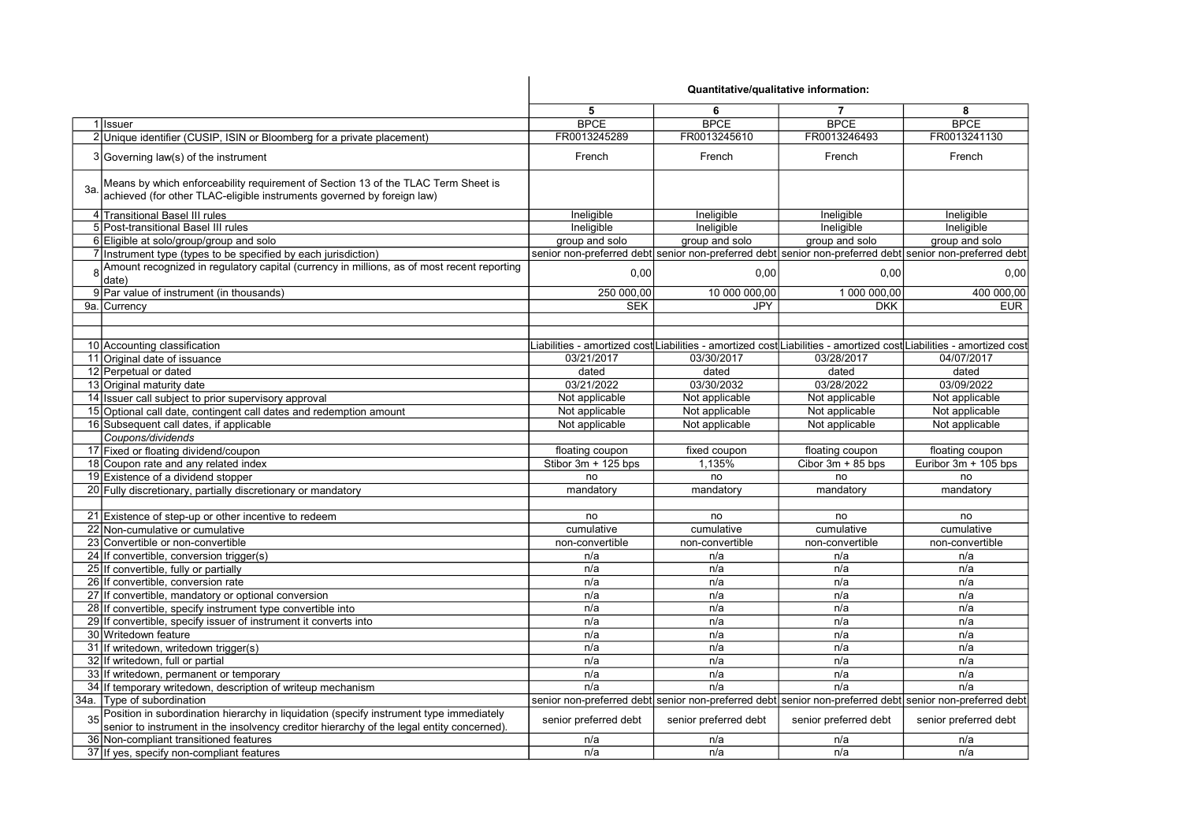|                                                                                                                                                                                      | Quantitative/qualitative information: |                       |                       |                                                                                                                     |
|--------------------------------------------------------------------------------------------------------------------------------------------------------------------------------------|---------------------------------------|-----------------------|-----------------------|---------------------------------------------------------------------------------------------------------------------|
|                                                                                                                                                                                      | 5                                     | 6                     | $\overline{7}$        | 8                                                                                                                   |
| 1 Issuer                                                                                                                                                                             | <b>BPCE</b>                           | <b>BPCE</b>           | <b>BPCE</b>           | <b>BPCE</b>                                                                                                         |
| 2 Unique identifier (CUSIP, ISIN or Bloomberg for a private placement)                                                                                                               | FR0013245289                          | FR0013245610          | FR0013246493          | FR0013241130                                                                                                        |
| 3 Governing law(s) of the instrument                                                                                                                                                 | French                                | French                | French                | French                                                                                                              |
| Means by which enforceability requirement of Section 13 of the TLAC Term Sheet is<br>3a<br>achieved (for other TLAC-eligible instruments governed by foreign law)                    |                                       |                       |                       |                                                                                                                     |
| 4 Transitional Basel III rules                                                                                                                                                       | Ineligible                            | Ineligible            | Ineligible            | Ineligible                                                                                                          |
| 5 Post-transitional Basel III rules                                                                                                                                                  | Ineligible                            | Ineligible            | Ineligible            | Ineligible                                                                                                          |
| 6 Eligible at solo/group/group and solo                                                                                                                                              | group and solo                        | group and solo        | group and solo        | group and solo                                                                                                      |
| 7 Instrument type (types to be specified by each jurisdiction)                                                                                                                       |                                       |                       |                       | senior non-preferred debt senior non-preferred debt senior non-preferred debt senior non-preferred debt             |
| 8 Amount recognized in regulatory capital (currency in millions, as of most recent reporting<br>date)                                                                                | 0,00                                  | 0,00                  | 0,00                  | 0,00                                                                                                                |
| 9 Par value of instrument (in thousands)                                                                                                                                             | 250 000,00                            | 10 000 000,00         | 1 000 000,00          | 400 000,00                                                                                                          |
| 9a. Currency                                                                                                                                                                         | <b>SEK</b>                            | JPY                   | <b>DKK</b>            | <b>EUR</b>                                                                                                          |
|                                                                                                                                                                                      |                                       |                       |                       |                                                                                                                     |
| 10 Accounting classification                                                                                                                                                         |                                       |                       |                       | Liabilities - amortized cost∣Liabilities - amortized cost∣Liabilities - amortized cost∣Liabilities - amortized cost |
| 11 Original date of issuance                                                                                                                                                         | 03/21/2017                            | 03/30/2017            | 03/28/2017            | 04/07/2017                                                                                                          |
| 12 Perpetual or dated                                                                                                                                                                | dated                                 | dated                 | dated                 | dated                                                                                                               |
| 13 Original maturity date                                                                                                                                                            | 03/21/2022                            | 03/30/2032            | 03/28/2022            | 03/09/2022                                                                                                          |
| 14 Issuer call subject to prior supervisory approval                                                                                                                                 | Not applicable                        | Not applicable        | Not applicable        | Not applicable                                                                                                      |
| 15 Optional call date, contingent call dates and redemption amount                                                                                                                   | Not applicable                        | Not applicable        | Not applicable        | Not applicable                                                                                                      |
| 16 Subsequent call dates, if applicable                                                                                                                                              | Not applicable                        | Not applicable        | Not applicable        | Not applicable                                                                                                      |
| Coupons/dividends                                                                                                                                                                    |                                       |                       |                       |                                                                                                                     |
| 17 Fixed or floating dividend/coupon                                                                                                                                                 | floating coupon                       | fixed coupon          | floating coupon       | floating coupon                                                                                                     |
| 18 Coupon rate and any related index                                                                                                                                                 | Stibor $3m + 125$ bps                 | 1,135%                | Cibor $3m + 85$ bps   | Euribor 3m + 105 bps                                                                                                |
| 19 Existence of a dividend stopper                                                                                                                                                   | no                                    | no                    | no                    | no                                                                                                                  |
| 20 Fully discretionary, partially discretionary or mandatory                                                                                                                         | mandatory                             | mandatory             | mandatory             | mandatory                                                                                                           |
|                                                                                                                                                                                      |                                       |                       |                       |                                                                                                                     |
| 21 Existence of step-up or other incentive to redeem                                                                                                                                 | no                                    | no                    | no                    | no                                                                                                                  |
| 22 Non-cumulative or cumulative                                                                                                                                                      | cumulative                            | cumulative            | cumulative            | cumulative                                                                                                          |
| 23 Convertible or non-convertible                                                                                                                                                    | non-convertible                       | non-convertible       | non-convertible       | non-convertible                                                                                                     |
| 24 If convertible, conversion trigger(s)                                                                                                                                             | n/a                                   | n/a                   | n/a                   | n/a                                                                                                                 |
| 25 If convertible, fully or partially                                                                                                                                                | n/a                                   | n/a                   | n/a                   | n/a                                                                                                                 |
| 26 If convertible, conversion rate                                                                                                                                                   | n/a                                   | n/a                   | n/a                   | n/a                                                                                                                 |
| 27 If convertible, mandatory or optional conversion                                                                                                                                  | n/a                                   | n/a                   | n/a                   | n/a                                                                                                                 |
| 28 If convertible, specify instrument type convertible into                                                                                                                          | n/a                                   | n/a                   | n/a                   | n/a                                                                                                                 |
| 29 If convertible, specify issuer of instrument it converts into                                                                                                                     | n/a                                   | n/a                   | n/a                   | n/a                                                                                                                 |
| 30 Writedown feature                                                                                                                                                                 | n/a                                   | n/a                   | n/a                   | n/a                                                                                                                 |
| 31 If writedown, writedown trigger(s)                                                                                                                                                | n/a                                   | n/a                   | n/a                   | n/a                                                                                                                 |
| 32 If writedown, full or partial                                                                                                                                                     | n/a                                   | n/a                   | n/a                   | n/a                                                                                                                 |
| 33 If writedown, permanent or temporary                                                                                                                                              | n/a                                   | n/a                   | n/a                   | n/a                                                                                                                 |
| 34 If temporary writedown, description of writeup mechanism                                                                                                                          | n/a                                   | n/a                   | n/a                   | n/a                                                                                                                 |
| 34a. Type of subordination                                                                                                                                                           |                                       |                       |                       | senior non-preferred debt senior non-preferred debt senior non-preferred debt senior non-preferred debt             |
| Position in subordination hierarchy in liquidation (specify instrument type immediately<br>senior to instrument in the insolvency creditor hierarchy of the legal entity concerned). | senior preferred debt                 | senior preferred debt | senior preferred debt | senior preferred debt                                                                                               |
| 36 Non-compliant transitioned features                                                                                                                                               | n/a                                   | n/a                   | n/a                   | n/a                                                                                                                 |
| 37 If yes, specify non-compliant features                                                                                                                                            | n/a                                   | n/a                   | n/a                   | n/a                                                                                                                 |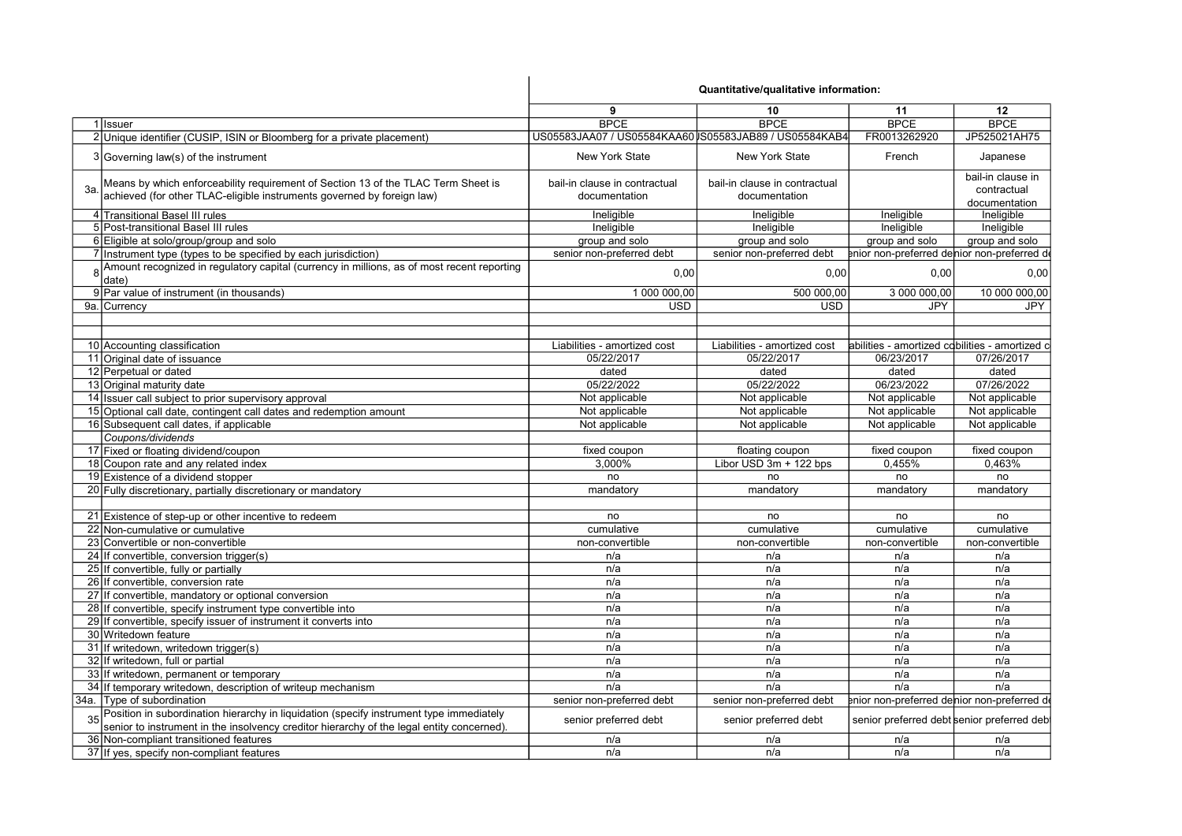|                                                                                                                                                                                      |                                                | Quantitative/qualitative information:          |                                                |                                  |
|--------------------------------------------------------------------------------------------------------------------------------------------------------------------------------------|------------------------------------------------|------------------------------------------------|------------------------------------------------|----------------------------------|
|                                                                                                                                                                                      | 9                                              | 10                                             | 11                                             | 12                               |
| 1 Issuer                                                                                                                                                                             | <b>BPCE</b>                                    | <b>BPCE</b>                                    | <b>BPCE</b>                                    | <b>BPCE</b>                      |
| 2 Unique identifier (CUSIP, ISIN or Bloomberg for a private placement)                                                                                                               |                                                |                                                | FR0013262920                                   | JP525021AH75                     |
| 3 Governing law(s) of the instrument                                                                                                                                                 | <b>New York State</b>                          | <b>New York State</b>                          | French                                         | Japanese                         |
| Means by which enforceability requirement of Section 13 of the TLAC Term Sheet is<br>3a<br>achieved (for other TLAC-eligible instruments governed by foreign law)                    | bail-in clause in contractual<br>documentation | bail-in clause in contractual<br>documentation |                                                | bail-in clause in<br>contractual |
|                                                                                                                                                                                      |                                                |                                                |                                                | documentation                    |
| 4 Transitional Basel III rules                                                                                                                                                       | Ineligible                                     | Ineligible                                     | Ineligible                                     | Ineligible                       |
| 5 Post-transitional Basel III rules                                                                                                                                                  | Ineligible                                     | Ineligible                                     | Ineligible                                     | Ineligible                       |
| 6 Eligible at solo/group/group and solo                                                                                                                                              | group and solo                                 | group and solo                                 | group and solo                                 | group and solo                   |
| 7 Instrument type (types to be specified by each jurisdiction)                                                                                                                       | senior non-preferred debt                      | senior non-preferred debt                      | enior non-preferred denior non-preferred de    |                                  |
| Amount recognized in regulatory capital (currency in millions, as of most recent reporting<br>R<br>date)                                                                             | 0.00                                           | 0,00                                           | 0,00                                           | 0,00                             |
| 9 Par value of instrument (in thousands)                                                                                                                                             | 1 000 000,00                                   | 500 000,00                                     | 3 000 000,00                                   | 10 000 000,00                    |
| 9a. Currency                                                                                                                                                                         | <b>USD</b>                                     | <b>USD</b>                                     | <b>JPY</b>                                     | <b>JPY</b>                       |
|                                                                                                                                                                                      |                                                |                                                |                                                |                                  |
| 10 Accounting classification                                                                                                                                                         | Liabilities - amortized cost                   | Liabilities - amortized cost                   | abilities - amortized cobilities - amortized c |                                  |
| 11 Original date of issuance                                                                                                                                                         | 05/22/2017                                     | 05/22/2017                                     | 06/23/2017                                     | 07/26/2017                       |
| 12 Perpetual or dated                                                                                                                                                                | dated                                          | dated                                          | dated                                          | dated                            |
| 13 Original maturity date                                                                                                                                                            | 05/22/2022                                     | 05/22/2022                                     | 06/23/2022                                     | 07/26/2022                       |
| 14 Issuer call subject to prior supervisory approval                                                                                                                                 | Not applicable                                 | Not applicable                                 | Not applicable                                 | Not applicable                   |
| 15 Optional call date, contingent call dates and redemption amount                                                                                                                   | Not applicable                                 | Not applicable                                 | Not applicable                                 | Not applicable                   |
| 16 Subsequent call dates, if applicable                                                                                                                                              | Not applicable                                 | Not applicable                                 | Not applicable                                 | Not applicable                   |
| Coupons/dividends                                                                                                                                                                    |                                                |                                                |                                                |                                  |
| 17 Fixed or floating dividend/coupon                                                                                                                                                 | fixed coupon                                   | floating coupon                                | fixed coupon                                   | fixed coupon                     |
| 18 Coupon rate and any related index                                                                                                                                                 | 3,000%                                         | Libor USD 3m + 122 bps                         | 0,455%                                         | 0,463%                           |
| 19 Existence of a dividend stopper                                                                                                                                                   | no                                             | no                                             | no                                             | no                               |
| 20 Fully discretionary, partially discretionary or mandatory                                                                                                                         | mandatory                                      | mandatory                                      | mandatory                                      | mandatory                        |
|                                                                                                                                                                                      |                                                |                                                |                                                |                                  |
| 21 Existence of step-up or other incentive to redeem                                                                                                                                 | no                                             | no                                             | no                                             | no                               |
| 22 Non-cumulative or cumulative                                                                                                                                                      | cumulative                                     | cumulative                                     | cumulative                                     | cumulative                       |
| 23 Convertible or non-convertible                                                                                                                                                    | non-convertible                                | non-convertible                                | non-convertible                                | non-convertible                  |
| 24 If convertible, conversion trigger(s)                                                                                                                                             | n/a                                            | n/a                                            | n/a                                            | n/a                              |
| 25 If convertible, fully or partially                                                                                                                                                | n/a                                            | n/a                                            | n/a                                            | n/a                              |
| 26 If convertible, conversion rate                                                                                                                                                   | n/a                                            | n/a                                            | n/a                                            | n/a                              |
| 27 If convertible, mandatory or optional conversion                                                                                                                                  | n/a                                            | n/a                                            | n/a                                            | n/a                              |
| 28 If convertible, specify instrument type convertible into                                                                                                                          | n/a                                            | n/a                                            | n/a                                            | n/a                              |
| 29 If convertible, specify issuer of instrument it converts into                                                                                                                     | n/a                                            | n/a                                            | n/a                                            | n/a                              |
| 30 Writedown feature                                                                                                                                                                 | n/a                                            | n/a                                            | n/a                                            | n/a                              |
| 31 If writedown, writedown trigger(s)                                                                                                                                                | n/a                                            | n/a                                            | n/a                                            | n/a                              |
| 32 If writedown, full or partial                                                                                                                                                     | n/a                                            | n/a                                            | n/a                                            | n/a                              |
| 33 If writedown, permanent or temporary                                                                                                                                              | n/a                                            | n/a                                            | n/a                                            | n/a                              |
| 34 If temporary writedown, description of writeup mechanism                                                                                                                          | n/a                                            | n/a                                            | n/a                                            | n/a                              |
| 34a. Type of subordination                                                                                                                                                           | senior non-preferred debt                      | senior non-preferred debt                      | enior non-preferred delnior non-preferred de   |                                  |
| Position in subordination hierarchy in liquidation (specify instrument type immediately<br>senior to instrument in the insolvency creditor hierarchy of the legal entity concerned). | senior preferred debt                          | senior preferred debt                          | senior preferred debt senior preferred deb     |                                  |
| 36 Non-compliant transitioned features                                                                                                                                               | n/a                                            | n/a                                            | n/a                                            | n/a                              |
| 37 If yes, specify non-compliant features                                                                                                                                            | n/a                                            | n/a                                            | n/a                                            | n/a                              |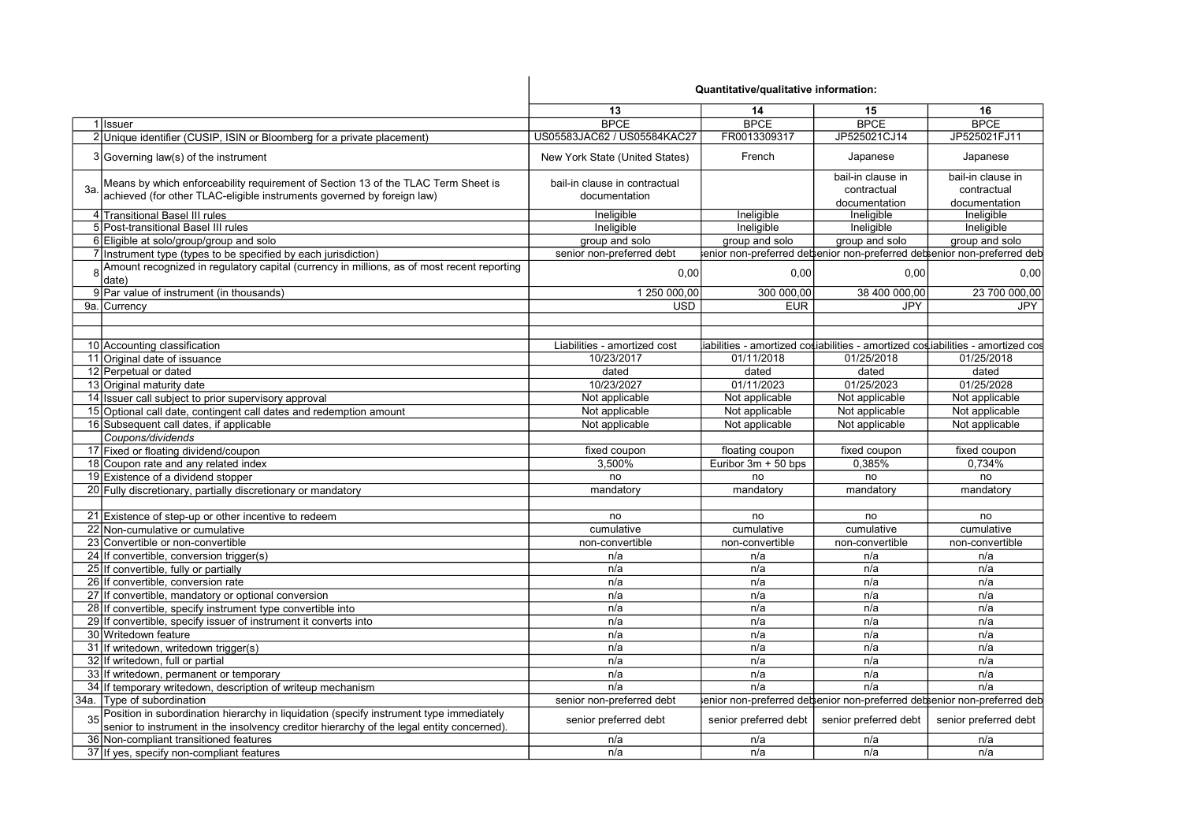|     |                                                                                              | Quantitative/qualitative information: |                       |                       |                                                                                 |
|-----|----------------------------------------------------------------------------------------------|---------------------------------------|-----------------------|-----------------------|---------------------------------------------------------------------------------|
|     |                                                                                              | 13                                    | 14                    | 15                    | 16                                                                              |
|     | 1 Issuer                                                                                     | <b>BPCE</b>                           | <b>BPCE</b>           | <b>BPCE</b>           | <b>BPCE</b>                                                                     |
|     | 2 Unique identifier (CUSIP, ISIN or Bloomberg for a private placement)                       | US05583JAC62 / US05584KAC27           | FR0013309317          | JP525021CJ14          | JP525021FJ11                                                                    |
|     | 3 Governing law(s) of the instrument                                                         | New York State (United States)        | French                | Japanese              | Japanese                                                                        |
|     | Means by which enforceability requirement of Section 13 of the TLAC Term Sheet is            | bail-in clause in contractual         |                       | bail-in clause in     | bail-in clause in                                                               |
| За. | achieved (for other TLAC-eligible instruments governed by foreign law)                       |                                       |                       | contractual           | contractual                                                                     |
|     |                                                                                              | documentation                         |                       | documentation         | documentation                                                                   |
|     | 4 Transitional Basel III rules                                                               | Ineligible                            | Ineligible            | Ineligible            | Ineligible                                                                      |
|     | 5 Post-transitional Basel III rules                                                          | Ineligible                            | Ineligible            | Ineligible            | Ineligible                                                                      |
|     | 6 Eligible at solo/group/group and solo                                                      | group and solo                        | group and solo        | group and solo        | group and solo                                                                  |
|     | 7 Instrument type (types to be specified by each jurisdiction)                               | senior non-preferred debt             |                       |                       | enior non-preferred debenior non-preferred debenior non-preferred deb           |
|     | 8 Amount recognized in regulatory capital (currency in millions, as of most recent reporting |                                       |                       |                       |                                                                                 |
|     | date)                                                                                        | 0,00                                  | 0,00                  | 0,00                  | 0,00                                                                            |
|     | 9 Par value of instrument (in thousands)                                                     | 1 250 000,00                          | 300 000,00            | 38 400 000,00         | 23 700 000,00                                                                   |
|     | 9a. Currency                                                                                 | <b>USD</b>                            | <b>EUR</b>            | JPY                   | <b>JPY</b>                                                                      |
|     |                                                                                              |                                       |                       |                       |                                                                                 |
|     | 10 Accounting classification                                                                 | Liabilities - amortized cost          |                       |                       | liabilities - amortized cosiabilities - amortized cosiabilities - amortized cos |
|     | 11 Original date of issuance                                                                 | 10/23/2017                            | 01/11/2018            | 01/25/2018            | 01/25/2018                                                                      |
|     | 12 Perpetual or dated                                                                        | dated                                 | dated                 | dated                 | dated                                                                           |
|     | 13 Original maturity date                                                                    | 10/23/2027                            | 01/11/2023            | 01/25/2023            | 01/25/2028                                                                      |
|     |                                                                                              |                                       |                       |                       |                                                                                 |
|     | 14 Issuer call subject to prior supervisory approval                                         | Not applicable                        | Not applicable        | Not applicable        | Not applicable                                                                  |
|     | 15 Optional call date, contingent call dates and redemption amount                           | Not applicable                        | Not applicable        | Not applicable        | Not applicable                                                                  |
|     | 16 Subsequent call dates, if applicable                                                      | Not applicable                        | Not applicable        | Not applicable        | Not applicable                                                                  |
|     | Coupons/dividends                                                                            |                                       |                       |                       |                                                                                 |
|     | 17 Fixed or floating dividend/coupon                                                         | fixed coupon                          | floating coupon       | fixed coupon          | fixed coupon                                                                    |
|     | 18 Coupon rate and any related index                                                         | 3,500%                                | Euribor $3m + 50$ bps | 0,385%                | 0,734%                                                                          |
|     | 19 Existence of a dividend stopper                                                           | no                                    | no                    | no                    | no                                                                              |
|     | 20 Fully discretionary, partially discretionary or mandatory                                 | mandatory                             | mandatory             | mandatory             | mandatory                                                                       |
|     |                                                                                              |                                       |                       |                       |                                                                                 |
|     | 21 Existence of step-up or other incentive to redeem                                         | no                                    | no                    | no                    | no                                                                              |
|     | 22 Non-cumulative or cumulative                                                              | cumulative                            | cumulative            | cumulative            | cumulative                                                                      |
|     | 23 Convertible or non-convertible                                                            | non-convertible                       | non-convertible       | non-convertible       | non-convertible                                                                 |
|     | 24 If convertible, conversion trigger(s)                                                     | n/a                                   | n/a                   | n/a                   | n/a                                                                             |
|     | 25 If convertible, fully or partially                                                        | n/a                                   | n/a                   | n/a                   | n/a                                                                             |
|     | 26 If convertible, conversion rate                                                           | n/a                                   | n/a                   | n/a                   | n/a                                                                             |
|     | 27 If convertible, mandatory or optional conversion                                          | n/a                                   | n/a                   | n/a                   | n/a                                                                             |
|     | 28 If convertible, specify instrument type convertible into                                  | n/a                                   | n/a                   | n/a                   | n/a                                                                             |
|     | 29 If convertible, specify issuer of instrument it converts into                             | n/a                                   | n/a                   | n/a                   | n/a                                                                             |
|     | 30 Writedown feature                                                                         | n/a                                   | n/a                   | n/a                   | n/a                                                                             |
|     | 31 If writedown, writedown trigger(s)                                                        | n/a                                   | n/a                   | n/a                   | n/a                                                                             |
|     | 32 If writedown, full or partial                                                             | n/a                                   | n/a                   | n/a                   | n/a                                                                             |
|     | 33 If writedown, permanent or temporary                                                      | n/a                                   | n/a                   | n/a                   | n/a                                                                             |
|     | 34 If temporary writedown, description of writeup mechanism                                  | n/a                                   | n/a                   | n/a                   | n/a                                                                             |
|     | 34a. Type of subordination                                                                   | senior non-preferred debt             |                       |                       | enior non-preferred detsenior non-preferred detsenior non-preferred deb         |
|     | Position in subordination hierarchy in liquidation (specify instrument type immediately      |                                       |                       |                       |                                                                                 |
|     | senior to instrument in the insolvency creditor hierarchy of the legal entity concerned).    | senior preferred debt                 | senior preferred debt | senior preferred debt | senior preferred debt                                                           |
|     | 36 Non-compliant transitioned features                                                       | n/a                                   | n/a                   | n/a                   | n/a                                                                             |
|     | 37 If yes, specify non-compliant features                                                    | n/a                                   | n/a                   | n/a                   | n/a                                                                             |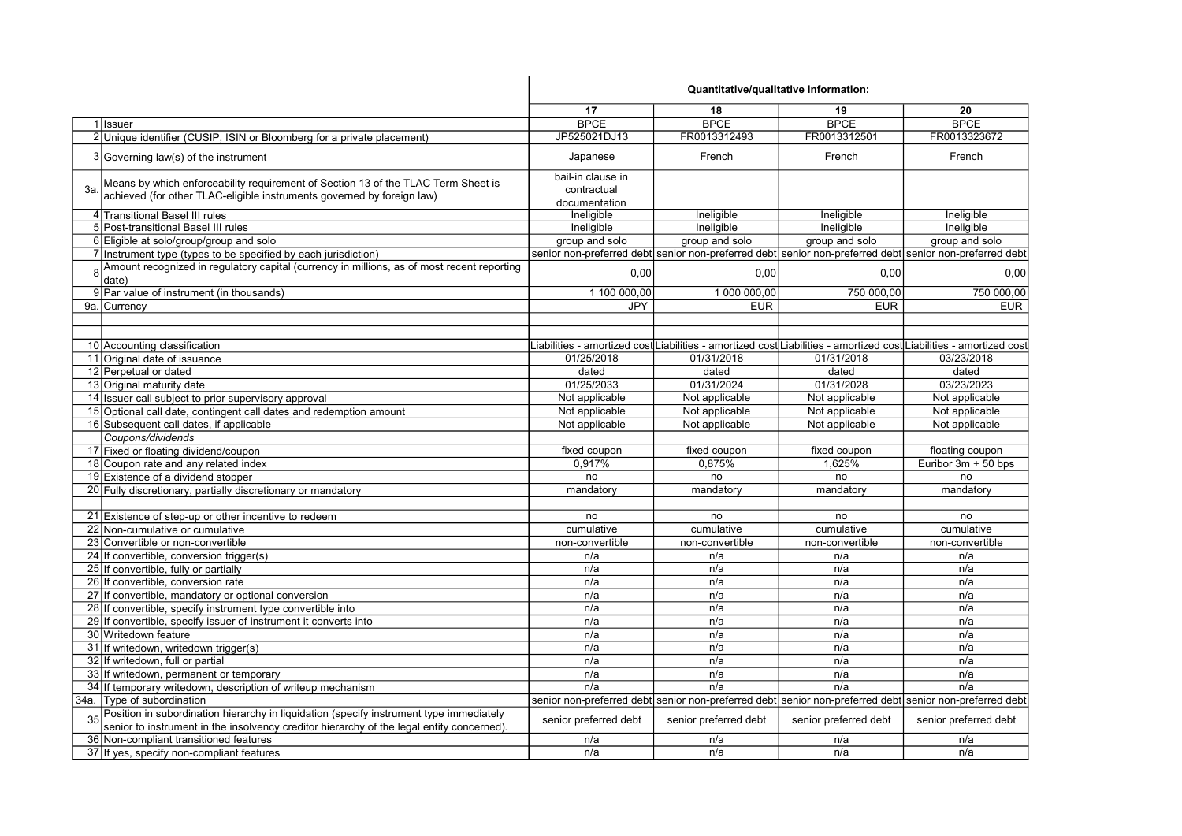|                                                                                                                                                                                      | Quantitative/qualitative information: |                       |                       |                                                                                                                     |
|--------------------------------------------------------------------------------------------------------------------------------------------------------------------------------------|---------------------------------------|-----------------------|-----------------------|---------------------------------------------------------------------------------------------------------------------|
|                                                                                                                                                                                      | 17                                    | 18                    | 19                    | 20                                                                                                                  |
| 1 Issuer                                                                                                                                                                             | <b>BPCE</b>                           | <b>BPCE</b>           | <b>BPCE</b>           | <b>BPCE</b>                                                                                                         |
| 2 Unique identifier (CUSIP, ISIN or Bloomberg for a private placement)                                                                                                               | JP525021DJ13                          | FR0013312493          | FR0013312501          | FR0013323672                                                                                                        |
| 3 Governing law(s) of the instrument                                                                                                                                                 | Japanese                              | French                | French                | French                                                                                                              |
| Means by which enforceability requirement of Section 13 of the TLAC Term Sheet is<br>3a<br>achieved (for other TLAC-eligible instruments governed by foreign law)                    | bail-in clause in<br>contractual      |                       |                       |                                                                                                                     |
| 4 Transitional Basel III rules                                                                                                                                                       | documentation<br>Ineligible           | Ineligible            | Ineligible            | Ineligible                                                                                                          |
| 5 Post-transitional Basel III rules                                                                                                                                                  | Ineligible                            | Ineligible            | Ineligible            | Ineligible                                                                                                          |
| 6 Eligible at solo/group/group and solo                                                                                                                                              | group and solo                        | group and solo        | group and solo        | group and solo                                                                                                      |
| 7 Instrument type (types to be specified by each jurisdiction)                                                                                                                       |                                       |                       |                       | senior non-preferred debt senior non-preferred debt senior non-preferred debt senior non-preferred debt             |
| 8 Amount recognized in regulatory capital (currency in millions, as of most recent reporting<br>date)                                                                                | 0,00                                  | 0,00                  | 0,00                  | 0,00                                                                                                                |
| 9 Par value of instrument (in thousands)                                                                                                                                             | 1 100 000,00                          | 1 000 000,00          | 750 000,00            | 750 000,00                                                                                                          |
| 9a. Currency                                                                                                                                                                         | JPY                                   | <b>EUR</b>            | <b>EUR</b>            | <b>EUR</b>                                                                                                          |
|                                                                                                                                                                                      |                                       |                       |                       |                                                                                                                     |
| 10 Accounting classification                                                                                                                                                         |                                       |                       |                       | Liabilities - amortized cost∣Liabilities - amortized cost∣Liabilities - amortized cost∣Liabilities - amortized cost |
| 11 Original date of issuance                                                                                                                                                         | 01/25/2018                            | 01/31/2018            | 01/31/2018            | 03/23/2018                                                                                                          |
| 12 Perpetual or dated                                                                                                                                                                | dated                                 | dated                 | dated                 | dated                                                                                                               |
| 13 Original maturity date                                                                                                                                                            | 01/25/2033                            | 01/31/2024            | 01/31/2028            | 03/23/2023                                                                                                          |
| 14 Issuer call subject to prior supervisory approval                                                                                                                                 | Not applicable                        | Not applicable        | Not applicable        | Not applicable                                                                                                      |
| 15 Optional call date, contingent call dates and redemption amount                                                                                                                   | Not applicable                        | Not applicable        | Not applicable        | Not applicable                                                                                                      |
| 16 Subsequent call dates, if applicable                                                                                                                                              | Not applicable                        | Not applicable        | Not applicable        | Not applicable                                                                                                      |
| Coupons/dividends                                                                                                                                                                    |                                       |                       |                       |                                                                                                                     |
| 17 Fixed or floating dividend/coupon                                                                                                                                                 | fixed coupon                          | fixed coupon          | fixed coupon          | floating coupon                                                                                                     |
| 18 Coupon rate and any related index                                                                                                                                                 | 0,917%                                | 0,875%                | 1,625%                | Euribor $3m + 50$ bps                                                                                               |
| 19 Existence of a dividend stopper                                                                                                                                                   | no                                    | no                    | no                    | no                                                                                                                  |
| 20 Fully discretionary, partially discretionary or mandatory                                                                                                                         | mandatory                             | mandatory             | mandatory             | mandatory                                                                                                           |
|                                                                                                                                                                                      |                                       |                       |                       |                                                                                                                     |
| 21 Existence of step-up or other incentive to redeem                                                                                                                                 | no                                    | no                    | no                    | no                                                                                                                  |
| 22 Non-cumulative or cumulative                                                                                                                                                      | cumulative                            | cumulative            | cumulative            | cumulative                                                                                                          |
| 23 Convertible or non-convertible                                                                                                                                                    | non-convertible                       | non-convertible       | non-convertible       | non-convertible                                                                                                     |
| 24 If convertible, conversion trigger(s)                                                                                                                                             | n/a                                   | n/a                   | n/a                   | n/a                                                                                                                 |
| 25 If convertible, fully or partially                                                                                                                                                | n/a                                   | n/a                   | n/a                   | n/a                                                                                                                 |
| 26 If convertible, conversion rate                                                                                                                                                   | n/a                                   | n/a                   | n/a                   | n/a                                                                                                                 |
| 27 If convertible, mandatory or optional conversion                                                                                                                                  | n/a                                   | n/a                   | n/a                   | n/a                                                                                                                 |
| 28 If convertible, specify instrument type convertible into                                                                                                                          | n/a                                   | n/a                   | n/a                   | n/a                                                                                                                 |
| 29 If convertible, specify issuer of instrument it converts into                                                                                                                     | n/a                                   | n/a                   | n/a                   | n/a                                                                                                                 |
| 30 Writedown feature                                                                                                                                                                 | n/a                                   | n/a                   | n/a                   | n/a                                                                                                                 |
| 31 If writedown, writedown trigger(s)                                                                                                                                                | n/a                                   | n/a                   | n/a                   | n/a                                                                                                                 |
| 32 If writedown, full or partial                                                                                                                                                     | n/a                                   | n/a                   | n/a                   | n/a                                                                                                                 |
| 33 If writedown, permanent or temporary                                                                                                                                              | n/a                                   | n/a                   | n/a                   | n/a                                                                                                                 |
| 34 If temporary writedown, description of writeup mechanism                                                                                                                          | n/a                                   | n/a                   | n/a                   | n/a                                                                                                                 |
| 34a. Type of subordination                                                                                                                                                           |                                       |                       |                       | senior non-preferred debt senior non-preferred debt senior non-preferred debt senior non-preferred debt             |
| Position in subordination hierarchy in liquidation (specify instrument type immediately<br>senior to instrument in the insolvency creditor hierarchy of the legal entity concerned). | senior preferred debt                 | senior preferred debt | senior preferred debt | senior preferred debt                                                                                               |
| 36 Non-compliant transitioned features                                                                                                                                               | n/a                                   | n/a                   | n/a                   | n/a                                                                                                                 |
| 37 If yes, specify non-compliant features                                                                                                                                            | n/a                                   | n/a                   | n/a                   | n/a                                                                                                                 |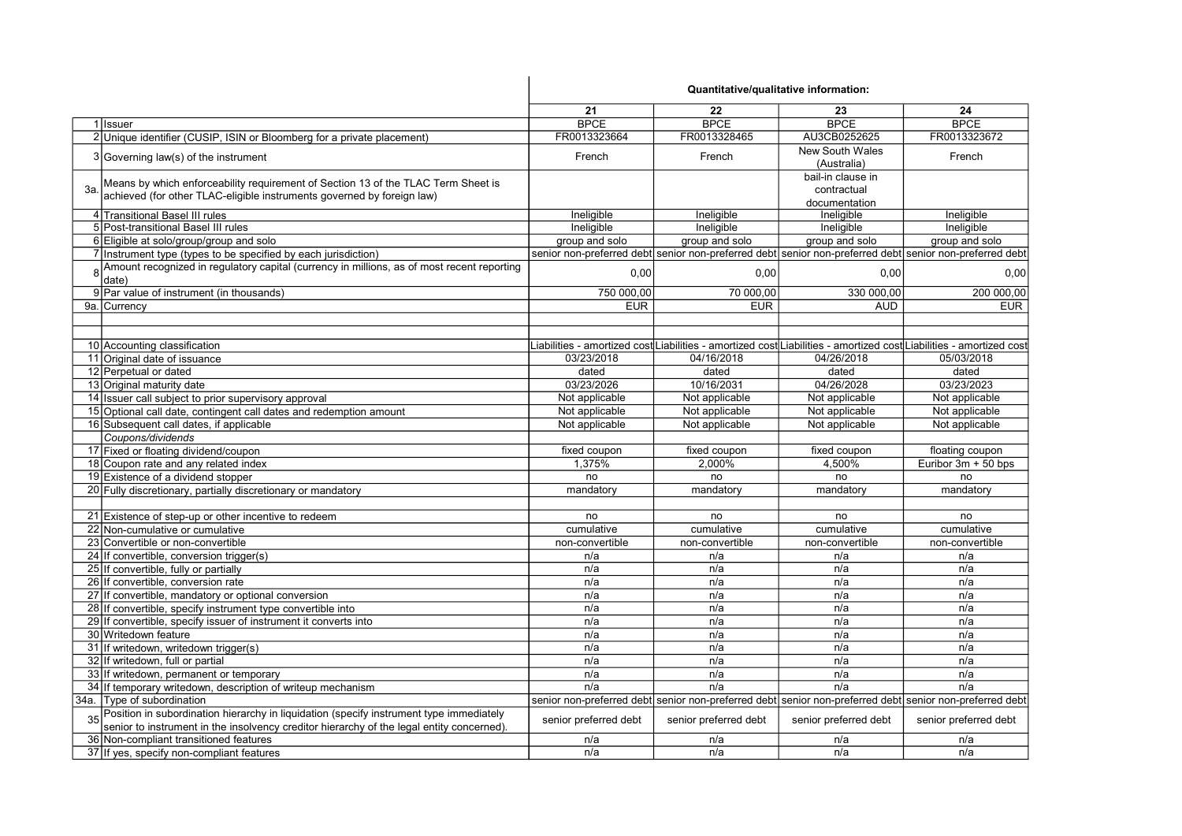|                                                                                                                                                                                      | Quantitative/qualitative information: |                       |                                                   |                                                                                                                     |
|--------------------------------------------------------------------------------------------------------------------------------------------------------------------------------------|---------------------------------------|-----------------------|---------------------------------------------------|---------------------------------------------------------------------------------------------------------------------|
|                                                                                                                                                                                      | 21                                    | 22                    | 23                                                | 24                                                                                                                  |
| 1 Issuer                                                                                                                                                                             | <b>BPCE</b>                           | <b>BPCE</b>           | <b>BPCE</b>                                       | <b>BPCE</b>                                                                                                         |
| 2 Unique identifier (CUSIP, ISIN or Bloomberg for a private placement)                                                                                                               | FR0013323664                          | FR0013328465          | AU3CB0252625                                      | FR0013323672                                                                                                        |
| 3 Governing law(s) of the instrument                                                                                                                                                 | French                                | French                | <b>New South Wales</b><br>(Australia)             | French                                                                                                              |
| Means by which enforceability requirement of Section 13 of the TLAC Term Sheet is<br>За.<br>achieved (for other TLAC-eligible instruments governed by foreign law)                   |                                       |                       | bail-in clause in<br>contractual<br>documentation |                                                                                                                     |
| 4 Transitional Basel III rules                                                                                                                                                       | Ineligible                            | Ineligible            | Ineligible                                        | Ineligible                                                                                                          |
| 5 Post-transitional Basel III rules                                                                                                                                                  | Ineligible                            | Ineligible            | Ineligible                                        | Ineligible                                                                                                          |
| 6 Eligible at solo/group/group and solo                                                                                                                                              | group and solo                        | group and solo        | group and solo                                    | group and solo                                                                                                      |
| 7 Instrument type (types to be specified by each jurisdiction)                                                                                                                       |                                       |                       |                                                   | senior non-preferred debt senior non-preferred debt senior non-preferred debt senior non-preferred debt             |
| 8 Amount recognized in regulatory capital (currency in millions, as of most recent reporting<br>date)                                                                                | 0,00                                  | 0,00                  | 0,00                                              | 0,00                                                                                                                |
| 9 Par value of instrument (in thousands)                                                                                                                                             | 750 000,00                            | 70 000,00             | 330 000,00                                        | 200 000,00                                                                                                          |
| 9a. Currency                                                                                                                                                                         | <b>EUR</b>                            | <b>EUR</b>            | <b>AUD</b>                                        | <b>EUR</b>                                                                                                          |
|                                                                                                                                                                                      |                                       |                       |                                                   |                                                                                                                     |
| 10 Accounting classification                                                                                                                                                         |                                       |                       |                                                   | Liabilities - amortized cost Liabilities - amortized cost Liabilities - amortized cost Liabilities - amortized cost |
| 11 Original date of issuance                                                                                                                                                         | 03/23/2018                            | 04/16/2018            | 04/26/2018                                        | 05/03/2018                                                                                                          |
| 12 Perpetual or dated                                                                                                                                                                | dated                                 | dated                 | dated                                             | dated                                                                                                               |
| 13 Original maturity date                                                                                                                                                            | 03/23/2026                            | 10/16/2031            | 04/26/2028                                        | 03/23/2023                                                                                                          |
| 14 Issuer call subject to prior supervisory approval                                                                                                                                 | Not applicable                        | Not applicable        | Not applicable                                    | Not applicable                                                                                                      |
| 15 Optional call date, contingent call dates and redemption amount                                                                                                                   | Not applicable                        | Not applicable        | Not applicable                                    | Not applicable                                                                                                      |
| 16 Subsequent call dates, if applicable                                                                                                                                              | Not applicable                        | Not applicable        | Not applicable                                    | Not applicable                                                                                                      |
| Coupons/dividends                                                                                                                                                                    |                                       |                       |                                                   |                                                                                                                     |
| 17 Fixed or floating dividend/coupon                                                                                                                                                 | fixed coupon                          | fixed coupon          | fixed coupon                                      | floating coupon                                                                                                     |
| 18 Coupon rate and any related index                                                                                                                                                 | 1.375%                                | 2,000%                | 4,500%                                            | Euribor $3m + 50$ bps                                                                                               |
| 19 Existence of a dividend stopper                                                                                                                                                   | no                                    | no                    | no                                                | no                                                                                                                  |
| 20 Fully discretionary, partially discretionary or mandatory                                                                                                                         | mandatory                             | mandatory             | mandatory                                         | mandatory                                                                                                           |
|                                                                                                                                                                                      |                                       |                       |                                                   |                                                                                                                     |
| 21 Existence of step-up or other incentive to redeem                                                                                                                                 | no                                    | no                    | no                                                | no                                                                                                                  |
| 22 Non-cumulative or cumulative                                                                                                                                                      | cumulative                            | cumulative            | cumulative                                        | cumulative                                                                                                          |
| 23 Convertible or non-convertible                                                                                                                                                    | non-convertible                       | non-convertible       | non-convertible                                   | non-convertible                                                                                                     |
| 24 If convertible, conversion trigger(s)                                                                                                                                             | n/a                                   | n/a                   | n/a                                               | n/a                                                                                                                 |
| 25 If convertible, fully or partially                                                                                                                                                | n/a                                   | n/a                   | n/a                                               | n/a                                                                                                                 |
| 26 If convertible, conversion rate                                                                                                                                                   | n/a                                   | n/a                   | n/a                                               | n/a                                                                                                                 |
| 27 If convertible, mandatory or optional conversion                                                                                                                                  | n/a                                   | n/a                   | n/a                                               | n/a                                                                                                                 |
| 28 If convertible, specify instrument type convertible into                                                                                                                          | n/a                                   | n/a                   | n/a                                               | n/a                                                                                                                 |
| 29 If convertible, specify issuer of instrument it converts into                                                                                                                     | n/a                                   | n/a                   | n/a                                               | n/a                                                                                                                 |
| 30 Writedown feature                                                                                                                                                                 | n/a                                   | n/a                   | n/a                                               | n/a                                                                                                                 |
| 31 If writedown, writedown trigger(s)                                                                                                                                                | n/a                                   | n/a                   | n/a                                               | n/a                                                                                                                 |
| 32 If writedown, full or partial                                                                                                                                                     | n/a                                   | n/a                   | n/a                                               | n/a                                                                                                                 |
| 33 If writedown, permanent or temporary                                                                                                                                              | n/a                                   | n/a                   | n/a                                               | n/a                                                                                                                 |
| 34 If temporary writedown, description of writeup mechanism                                                                                                                          | n/a                                   | n/a                   | n/a                                               | n/a                                                                                                                 |
| 34a. Type of subordination                                                                                                                                                           |                                       |                       |                                                   | senior non-preferred debt senior non-preferred debt senior non-preferred debt senior non-preferred debt             |
| Position in subordination hierarchy in liquidation (specify instrument type immediately<br>senior to instrument in the insolvency creditor hierarchy of the legal entity concerned). | senior preferred debt                 | senior preferred debt | senior preferred debt                             | senior preferred debt                                                                                               |
| 36 Non-compliant transitioned features                                                                                                                                               | n/a                                   | n/a                   | n/a                                               | n/a                                                                                                                 |
| 37 If yes, specify non-compliant features                                                                                                                                            | n/a                                   | n/a                   | n/a                                               | n/a                                                                                                                 |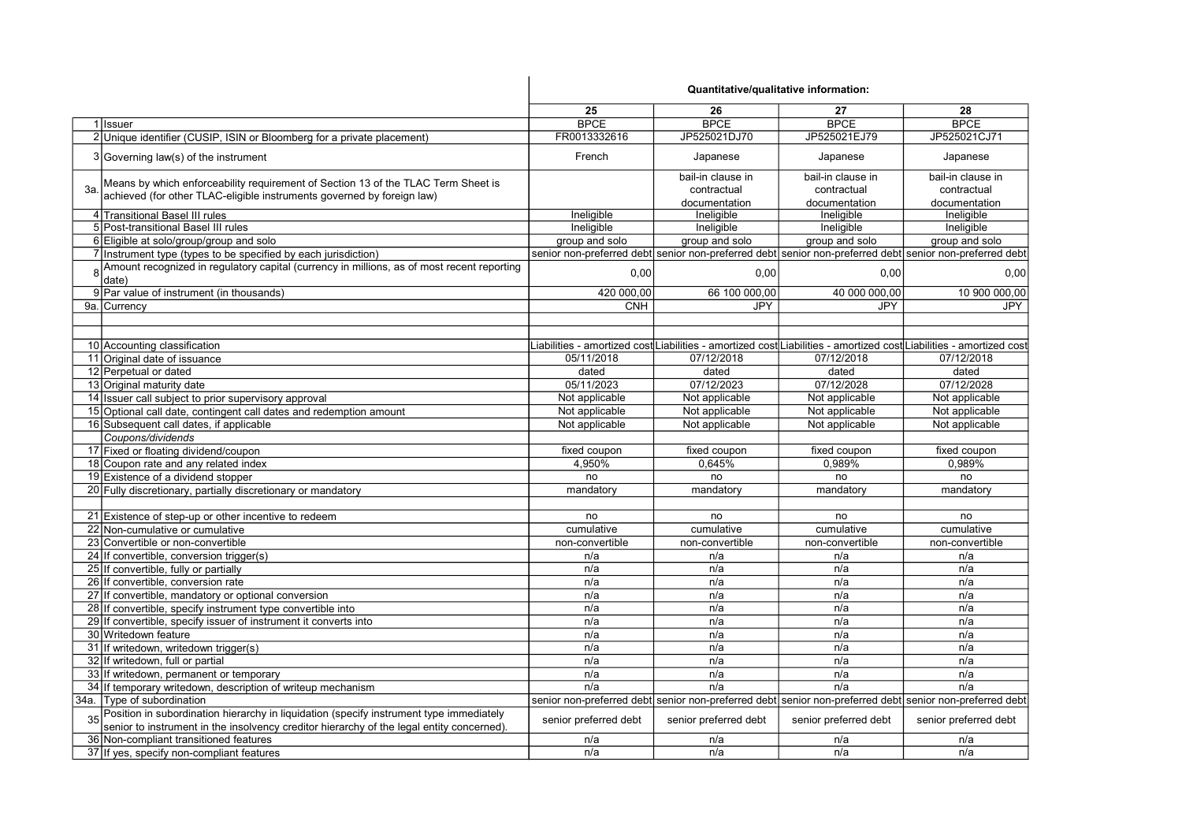|    |                                                                                                                                                                                      |                       | Quantitative/qualitative information: |                       |                                                                                                                     |
|----|--------------------------------------------------------------------------------------------------------------------------------------------------------------------------------------|-----------------------|---------------------------------------|-----------------------|---------------------------------------------------------------------------------------------------------------------|
|    |                                                                                                                                                                                      | 25                    | 26                                    | 27                    | 28                                                                                                                  |
|    | 1 Issuer                                                                                                                                                                             | <b>BPCE</b>           | <b>BPCE</b>                           | <b>BPCE</b>           | <b>BPCE</b>                                                                                                         |
|    | 2 Unique identifier (CUSIP, ISIN or Bloomberg for a private placement)                                                                                                               | FR0013332616          | JP525021DJ70                          | JP525021EJ79          | JP525021CJ71                                                                                                        |
|    | 3 Governing law(s) of the instrument                                                                                                                                                 | French                | Japanese                              | Japanese              | Japanese                                                                                                            |
|    | Means by which enforceability requirement of Section 13 of the TLAC Term Sheet is                                                                                                    |                       | bail-in clause in                     | bail-in clause in     | bail-in clause in                                                                                                   |
| 3a | achieved (for other TLAC-eligible instruments governed by foreign law)                                                                                                               |                       | contractual                           | contractual           | contractual                                                                                                         |
|    |                                                                                                                                                                                      |                       | documentation                         | documentation         | documentation                                                                                                       |
|    | 4 Transitional Basel III rules                                                                                                                                                       | Ineligible            | Ineligible                            | Ineligible            | Ineligible                                                                                                          |
|    | 5 Post-transitional Basel III rules                                                                                                                                                  | Ineligible            | Ineligible                            | Ineligible            | Ineligible                                                                                                          |
|    | 6 Eligible at solo/group/group and solo                                                                                                                                              | group and solo        | group and solo                        | group and solo        | group and solo                                                                                                      |
|    | 7 Instrument type (types to be specified by each jurisdiction)                                                                                                                       |                       |                                       |                       | senior non-preferred debt senior non-preferred debt senior non-preferred debt senior non-preferred debt             |
|    | Amount recognized in regulatory capital (currency in millions, as of most recent reporting<br>date)                                                                                  | 0,00                  | 0,00                                  | 0,00                  | 0,00                                                                                                                |
|    | 9 Par value of instrument (in thousands)                                                                                                                                             | 420 000,00            | 66 100 000,00                         | 40 000 000,00         | 10 900 000,00                                                                                                       |
|    | 9a. Currency                                                                                                                                                                         | <b>CNH</b>            | <b>JPY</b>                            | <b>JPY</b>            | <b>JPY</b>                                                                                                          |
|    |                                                                                                                                                                                      |                       |                                       |                       |                                                                                                                     |
|    | 10 Accounting classification                                                                                                                                                         |                       |                                       |                       | Liabilities - amortized cost Liabilities - amortized cost Liabilities - amortized cost Liabilities - amortized cost |
|    | 11 Original date of issuance                                                                                                                                                         | 05/11/2018            | 07/12/2018                            | 07/12/2018            | 07/12/2018                                                                                                          |
|    | 12 Perpetual or dated                                                                                                                                                                | dated                 | dated                                 | dated                 | dated                                                                                                               |
|    | 13 Original maturity date                                                                                                                                                            | 05/11/2023            | 07/12/2023                            | 07/12/2028            | 07/12/2028                                                                                                          |
|    | 14 Issuer call subject to prior supervisory approval                                                                                                                                 | Not applicable        | Not applicable                        | Not applicable        | Not applicable                                                                                                      |
|    | 15 Optional call date, contingent call dates and redemption amount                                                                                                                   | Not applicable        | Not applicable                        | Not applicable        | Not applicable                                                                                                      |
|    | 16 Subsequent call dates, if applicable                                                                                                                                              | Not applicable        | Not applicable                        | Not applicable        | Not applicable                                                                                                      |
|    | Coupons/dividends                                                                                                                                                                    |                       |                                       |                       |                                                                                                                     |
|    | 17 Fixed or floating dividend/coupon                                                                                                                                                 | fixed coupon          | fixed coupon                          | fixed coupon          | fixed coupon                                                                                                        |
|    | 18 Coupon rate and any related index                                                                                                                                                 | 4,950%                | 0.645%                                | 0.989%                | 0.989%                                                                                                              |
|    | 19 Existence of a dividend stopper                                                                                                                                                   | no                    | no                                    | no                    | no                                                                                                                  |
|    | 20 Fully discretionary, partially discretionary or mandatory                                                                                                                         | mandatory             | mandatory                             | mandatory             | mandatory                                                                                                           |
|    |                                                                                                                                                                                      |                       |                                       |                       |                                                                                                                     |
|    | 21 Existence of step-up or other incentive to redeem                                                                                                                                 | no                    | no                                    | no                    | no                                                                                                                  |
|    | 22 Non-cumulative or cumulative                                                                                                                                                      | cumulative            | cumulative                            | cumulative            | cumulative                                                                                                          |
|    | 23 Convertible or non-convertible                                                                                                                                                    | non-convertible       | non-convertible                       | non-convertible       | non-convertible                                                                                                     |
|    | 24 If convertible, conversion trigger(s)                                                                                                                                             | n/a                   | n/a                                   | n/a                   | n/a                                                                                                                 |
|    | 25 If convertible, fully or partially                                                                                                                                                | n/a                   | n/a                                   | n/a                   | n/a                                                                                                                 |
|    | 26 If convertible, conversion rate                                                                                                                                                   | n/a                   | n/a                                   | n/a                   | n/a                                                                                                                 |
|    | 27 If convertible, mandatory or optional conversion                                                                                                                                  | n/a                   | n/a                                   | n/a                   | n/a                                                                                                                 |
|    | 28 If convertible, specify instrument type convertible into                                                                                                                          | n/a                   | n/a                                   | n/a                   | n/a                                                                                                                 |
|    | 29 If convertible, specify issuer of instrument it converts into                                                                                                                     | n/a                   | n/a                                   | n/a                   | n/a                                                                                                                 |
|    | 30 Writedown feature                                                                                                                                                                 | n/a                   | n/a                                   | n/a                   | n/a                                                                                                                 |
|    | 31 If writedown, writedown trigger(s)                                                                                                                                                | n/a                   | n/a                                   | n/a                   | n/a                                                                                                                 |
|    | 32 If writedown, full or partial                                                                                                                                                     | n/a                   | n/a                                   | n/a                   | n/a                                                                                                                 |
|    | 33 If writedown, permanent or temporary                                                                                                                                              | n/a                   | n/a                                   | n/a                   | n/a                                                                                                                 |
|    | 34 If temporary writedown, description of writeup mechanism                                                                                                                          | n/a                   | n/a                                   | n/a                   | n/a                                                                                                                 |
|    | 34a. Type of subordination                                                                                                                                                           |                       |                                       |                       | senior non-preferred debt senior non-preferred debt senior non-preferred debt senior non-preferred debt             |
|    | Position in subordination hierarchy in liquidation (specify instrument type immediately<br>senior to instrument in the insolvency creditor hierarchy of the legal entity concerned). | senior preferred debt | senior preferred debt                 | senior preferred debt | senior preferred debt                                                                                               |
|    | 36 Non-compliant transitioned features                                                                                                                                               | n/a                   | n/a                                   | n/a                   | n/a                                                                                                                 |
|    | 37 If yes, specify non-compliant features                                                                                                                                            | n/a                   | n/a                                   | n/a                   | n/a                                                                                                                 |
|    |                                                                                                                                                                                      |                       |                                       |                       |                                                                                                                     |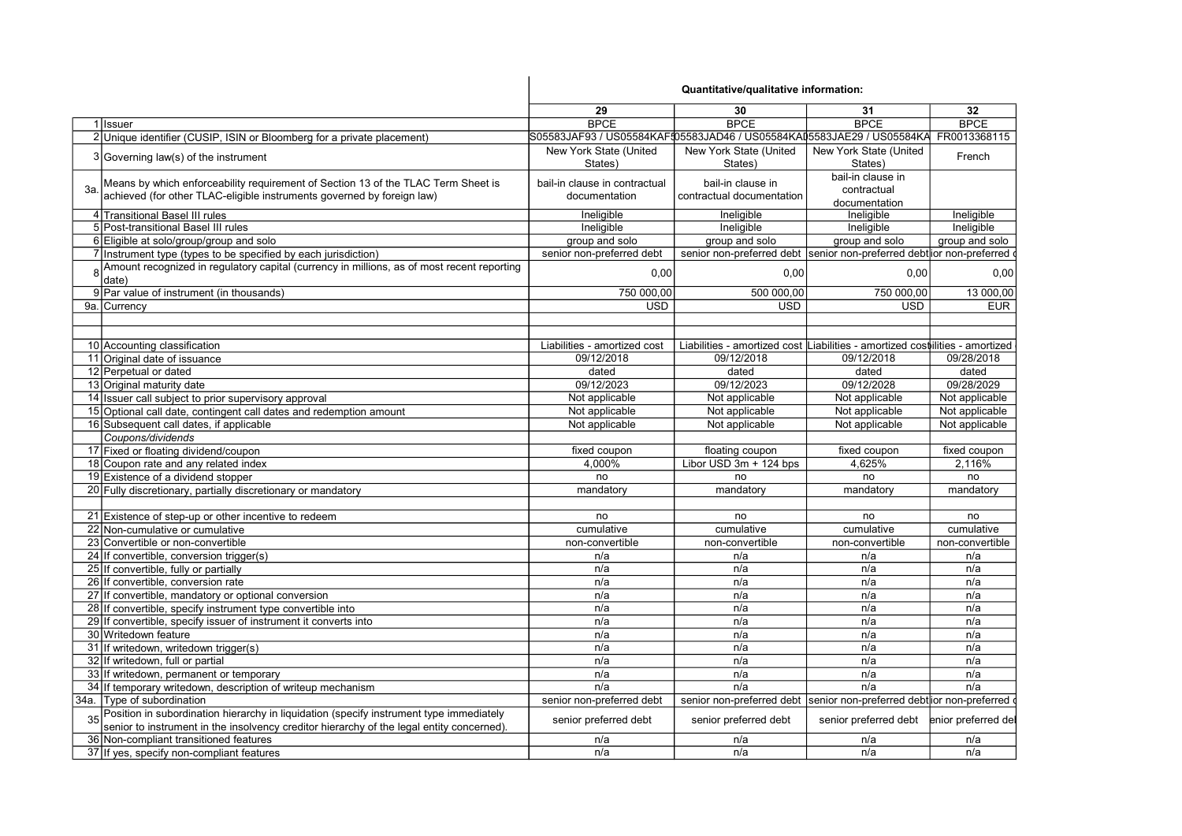|     |                                                                                            |                                                                                    | Quantitative/qualitative information:                                        |                        |                    |
|-----|--------------------------------------------------------------------------------------------|------------------------------------------------------------------------------------|------------------------------------------------------------------------------|------------------------|--------------------|
|     |                                                                                            | 29                                                                                 | 30                                                                           | 31                     | 32                 |
|     | 1 Issuer                                                                                   | <b>BPCE</b>                                                                        | <b>BPCE</b>                                                                  | <b>BPCE</b>            | <b>BPCE</b>        |
|     | 2 Unique identifier (CUSIP, ISIN or Bloomberg for a private placement)                     | S05583JAF93 / US05584KAF{05583JAD46 / US05584KAI5583JAE29 / US05584KA FR0013368115 |                                                                              |                        |                    |
|     |                                                                                            | New York State (United                                                             | New York State (United                                                       | New York State (United |                    |
|     | 3 Governing law(s) of the instrument                                                       | States)                                                                            | States)                                                                      | States)                | French             |
|     |                                                                                            |                                                                                    |                                                                              | bail-in clause in      |                    |
| За. | Means by which enforceability requirement of Section 13 of the TLAC Term Sheet is          | bail-in clause in contractual                                                      | bail-in clause in                                                            | contractual            |                    |
|     | achieved (for other TLAC-eligible instruments governed by foreign law)                     | documentation                                                                      | contractual documentation                                                    | documentation          |                    |
|     | 4 Transitional Basel III rules                                                             | Ineligible                                                                         | Ineligible                                                                   | Ineligible             | Ineligible         |
|     | 5 Post-transitional Basel III rules                                                        | Ineligible                                                                         | Ineligible                                                                   | Ineligible             | Ineligible         |
|     | 6 Eligible at solo/group/group and solo                                                    | group and solo                                                                     | group and solo                                                               | group and solo         | group and solo     |
|     | 7 Instrument type (types to be specified by each jurisdiction)                             | senior non-preferred debt                                                          | senior non-preferred debt senior non-preferred debt ior non-preferred        |                        |                    |
|     | Amount recognized in regulatory capital (currency in millions, as of most recent reporting |                                                                                    |                                                                              |                        |                    |
|     | date)                                                                                      | 0.00                                                                               | 0.00                                                                         | 0.00                   | 0,00               |
|     | 9 Par value of instrument (in thousands)                                                   | 750 000,00                                                                         | 500 000,00                                                                   | 750 000,00             | 13 000,00          |
|     | 9a. Currency                                                                               | <b>USD</b>                                                                         | <b>USD</b>                                                                   | <b>USD</b>             | <b>EUR</b>         |
|     |                                                                                            |                                                                                    |                                                                              |                        |                    |
|     |                                                                                            |                                                                                    |                                                                              |                        |                    |
|     | 10 Accounting classification                                                               | Liabilities - amortized cost                                                       | Liabilities - amortized cost Liabilities - amortized costilities - amortized |                        |                    |
|     | 11 Original date of issuance                                                               | 09/12/2018                                                                         | 09/12/2018                                                                   | 09/12/2018             | 09/28/2018         |
|     | 12 Perpetual or dated                                                                      | dated                                                                              | dated                                                                        | dated                  | dated              |
|     | 13 Original maturity date                                                                  | 09/12/2023                                                                         | 09/12/2023                                                                   | 09/12/2028             | 09/28/2029         |
|     | 14 Issuer call subject to prior supervisory approval                                       | Not applicable                                                                     | Not applicable                                                               | Not applicable         | Not applicable     |
|     | 15 Optional call date, contingent call dates and redemption amount                         | Not applicable                                                                     | Not applicable                                                               | Not applicable         | Not applicable     |
|     | 16 Subsequent call dates, if applicable                                                    | Not applicable                                                                     | Not applicable                                                               | Not applicable         | Not applicable     |
|     | Coupons/dividends                                                                          |                                                                                    |                                                                              |                        |                    |
|     | 17 Fixed or floating dividend/coupon                                                       | fixed coupon                                                                       | floating coupon                                                              | fixed coupon           | fixed coupon       |
|     | 18 Coupon rate and any related index                                                       | 4,000%                                                                             | Libor USD 3m + 124 bps                                                       | 4,625%                 | 2,116%             |
|     | 19 Existence of a dividend stopper                                                         | no                                                                                 | no                                                                           | no                     | no                 |
|     | 20 Fully discretionary, partially discretionary or mandatory                               | mandatory                                                                          | mandatory                                                                    | mandatory              | mandatory          |
|     |                                                                                            |                                                                                    |                                                                              |                        |                    |
|     | 21 Existence of step-up or other incentive to redeem                                       | no                                                                                 | no                                                                           | no                     | no                 |
|     | 22 Non-cumulative or cumulative                                                            | cumulative                                                                         | cumulative                                                                   | cumulative             | cumulative         |
|     | 23 Convertible or non-convertible                                                          | non-convertible                                                                    | non-convertible                                                              | non-convertible        | non-convertible    |
|     | 24 If convertible, conversion trigger(s)                                                   | n/a                                                                                | n/a                                                                          | n/a                    | n/a                |
|     | 25 If convertible, fully or partially                                                      | n/a                                                                                | n/a                                                                          | n/a                    | n/a                |
|     | 26 If convertible, conversion rate                                                         | n/a                                                                                | n/a                                                                          | n/a                    | n/a                |
|     | 27 If convertible, mandatory or optional conversion                                        | n/a                                                                                | n/a                                                                          | n/a                    | n/a                |
|     | 28 If convertible, specify instrument type convertible into                                | n/a                                                                                | n/a                                                                          | n/a                    | n/a                |
|     | 29 If convertible, specify issuer of instrument it converts into                           | n/a                                                                                | n/a                                                                          | n/a                    | n/a                |
|     | 30 Writedown feature                                                                       | n/a                                                                                | n/a                                                                          | n/a                    | n/a                |
|     | 31 If writedown, writedown trigger(s)                                                      | n/a                                                                                | n/a                                                                          | n/a                    | n/a                |
|     | 32 If writedown, full or partial                                                           | n/a                                                                                | n/a                                                                          | n/a                    | n/a                |
|     | 33 If writedown, permanent or temporary                                                    | n/a                                                                                | n/a                                                                          | n/a                    | n/a                |
|     | 34 If temporary writedown, description of writeup mechanism                                | n/a                                                                                | n/a                                                                          | n/a                    | n/a                |
|     | 34a. Type of subordination                                                                 | senior non-preferred debt                                                          | senior non-preferred debt  senior non-preferred debt ior non-preferred       |                        |                    |
|     | Position in subordination hierarchy in liquidation (specify instrument type immediately    |                                                                                    |                                                                              |                        |                    |
|     | senior to instrument in the insolvency creditor hierarchy of the legal entity concerned).  | senior preferred debt                                                              | senior preferred debt                                                        | senior preferred debt  | enior preferred de |
|     | 36 Non-compliant transitioned features                                                     | n/a                                                                                | n/a                                                                          | n/a                    | n/a                |
|     | 37 If yes, specify non-compliant features                                                  | n/a                                                                                | n/a                                                                          | n/a                    | n/a                |
|     |                                                                                            |                                                                                    |                                                                              |                        |                    |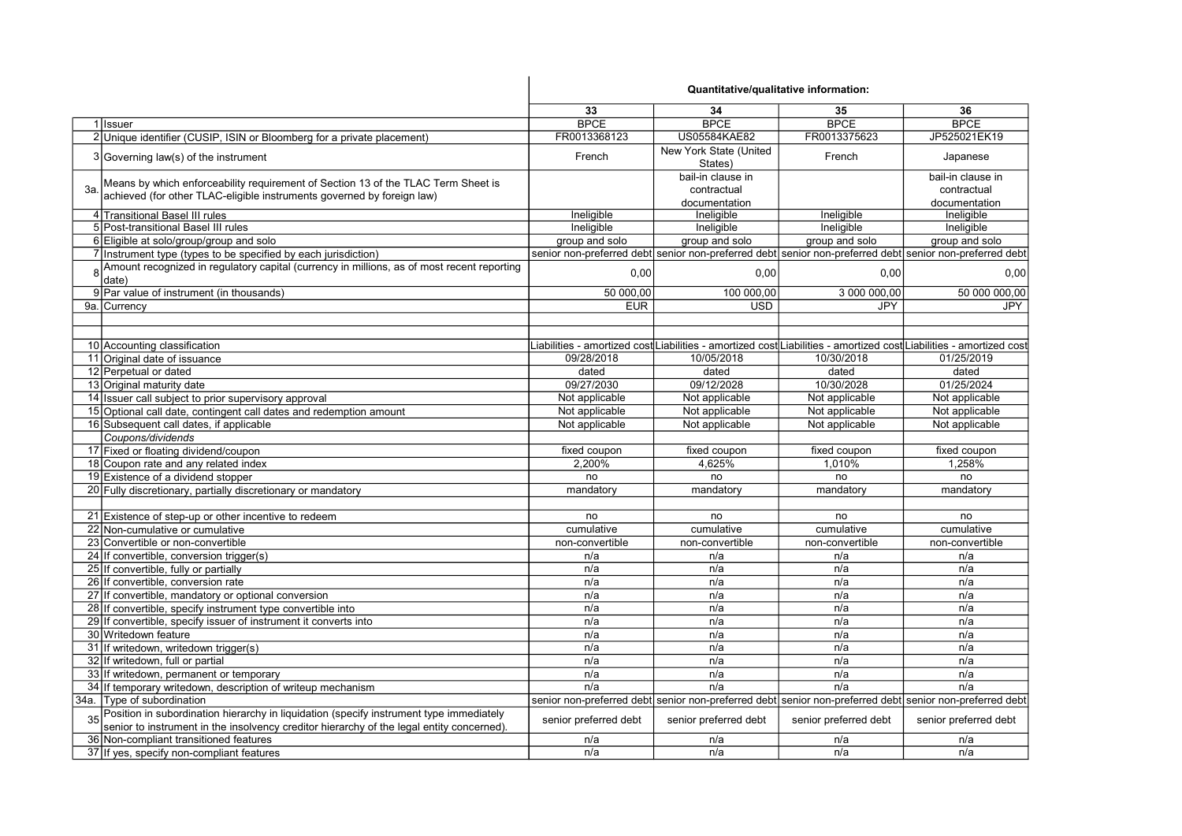|    |                                                                                                                                                                                      | Quantitative/qualitative information: |                                   |                       |                                                                                                                     |
|----|--------------------------------------------------------------------------------------------------------------------------------------------------------------------------------------|---------------------------------------|-----------------------------------|-----------------------|---------------------------------------------------------------------------------------------------------------------|
|    |                                                                                                                                                                                      | 33                                    | 34                                | 35                    | 36                                                                                                                  |
|    | 1 Issuer                                                                                                                                                                             | <b>BPCE</b>                           | <b>BPCE</b>                       | <b>BPCE</b>           | <b>BPCE</b>                                                                                                         |
|    | 2 Unique identifier (CUSIP, ISIN or Bloomberg for a private placement)                                                                                                               | FR0013368123                          | <b>US05584KAE82</b>               | FR0013375623          | JP525021EK19                                                                                                        |
|    | 3 Governing law(s) of the instrument                                                                                                                                                 | French                                | New York State (United<br>States) | French                | Japanese                                                                                                            |
|    | Means by which enforceability requirement of Section 13 of the TLAC Term Sheet is                                                                                                    |                                       | bail-in clause in                 |                       | bail-in clause in                                                                                                   |
| 3a | achieved (for other TLAC-eligible instruments governed by foreign law)                                                                                                               |                                       | contractual                       |                       | contractual                                                                                                         |
|    |                                                                                                                                                                                      |                                       | documentation                     |                       | documentation                                                                                                       |
|    | 4 Transitional Basel III rules                                                                                                                                                       | Ineligible                            | Ineligible                        | Ineligible            | Ineligible                                                                                                          |
|    | 5 Post-transitional Basel III rules                                                                                                                                                  | Ineligible                            | Ineligible                        | Ineligible            | Ineligible                                                                                                          |
|    | 6 Eligible at solo/group/group and solo                                                                                                                                              | group and solo                        | group and solo                    | group and solo        | group and solo                                                                                                      |
|    | 7 Instrument type (types to be specified by each jurisdiction)                                                                                                                       |                                       |                                   |                       | senior non-preferred debt senior non-preferred debt senior non-preferred debt senior non-preferred debt             |
|    | Amount recognized in regulatory capital (currency in millions, as of most recent reporting<br>date)                                                                                  | 0,00                                  | 0,00                              | 0,00                  | 0,00                                                                                                                |
|    | 9 Par value of instrument (in thousands)                                                                                                                                             | 50 000,00                             | 100 000,00                        | 3 000 000,00          | 50 000 000,00                                                                                                       |
|    | 9a. Currency                                                                                                                                                                         | <b>EUR</b>                            | <b>USD</b>                        | JPY                   | <b>JPY</b>                                                                                                          |
|    |                                                                                                                                                                                      |                                       |                                   |                       |                                                                                                                     |
|    | 10 Accounting classification                                                                                                                                                         |                                       |                                   |                       | Liabilities - amortized cost∣Liabilities - amortized cost∣Liabilities - amortized cost∣Liabilities - amortized cost |
|    | 11 Original date of issuance                                                                                                                                                         | 09/28/2018                            | 10/05/2018                        | 10/30/2018            | 01/25/2019                                                                                                          |
|    | 12 Perpetual or dated                                                                                                                                                                | dated                                 | dated                             | dated                 | dated                                                                                                               |
|    | 13 Original maturity date                                                                                                                                                            | 09/27/2030                            | 09/12/2028                        | 10/30/2028            | 01/25/2024                                                                                                          |
|    | 14 Issuer call subject to prior supervisory approval                                                                                                                                 | Not applicable                        | Not applicable                    | Not applicable        | Not applicable                                                                                                      |
|    | 15 Optional call date, contingent call dates and redemption amount                                                                                                                   | Not applicable                        | Not applicable                    | Not applicable        | Not applicable                                                                                                      |
|    | 16 Subsequent call dates, if applicable                                                                                                                                              | Not applicable                        | Not applicable                    | Not applicable        | Not applicable                                                                                                      |
|    | Coupons/dividends                                                                                                                                                                    |                                       |                                   |                       |                                                                                                                     |
|    | 17 Fixed or floating dividend/coupon                                                                                                                                                 | fixed coupon                          | fixed coupon                      | fixed coupon          | fixed coupon                                                                                                        |
|    | 18 Coupon rate and any related index                                                                                                                                                 | 2.200%                                | 4,625%                            | 1.010%                | 1.258%                                                                                                              |
|    | 19 Existence of a dividend stopper                                                                                                                                                   | no                                    | no                                | no                    | no                                                                                                                  |
|    | 20 Fully discretionary, partially discretionary or mandatory                                                                                                                         | mandatory                             | mandatory                         | mandatory             | mandatory                                                                                                           |
|    |                                                                                                                                                                                      |                                       |                                   |                       |                                                                                                                     |
|    | 21 Existence of step-up or other incentive to redeem                                                                                                                                 | no                                    | no                                | no                    | no                                                                                                                  |
|    | 22 Non-cumulative or cumulative                                                                                                                                                      | cumulative                            | cumulative                        | cumulative            | cumulative                                                                                                          |
|    | 23 Convertible or non-convertible                                                                                                                                                    | non-convertible                       | non-convertible                   | non-convertible       | non-convertible                                                                                                     |
|    | 24 If convertible, conversion trigger(s)                                                                                                                                             | n/a                                   | n/a                               | n/a                   | n/a                                                                                                                 |
|    | 25 If convertible, fully or partially                                                                                                                                                | n/a                                   | n/a                               | n/a                   | n/a                                                                                                                 |
|    | 26 If convertible, conversion rate                                                                                                                                                   | n/a                                   | n/a                               | n/a                   | n/a                                                                                                                 |
|    | 27 If convertible, mandatory or optional conversion                                                                                                                                  | n/a                                   | n/a                               | n/a                   | n/a                                                                                                                 |
|    | 28 If convertible, specify instrument type convertible into                                                                                                                          | n/a                                   | n/a                               | n/a                   | n/a                                                                                                                 |
|    | 29 If convertible, specify issuer of instrument it converts into                                                                                                                     | n/a                                   | n/a                               | n/a                   | n/a                                                                                                                 |
|    | 30 Writedown feature                                                                                                                                                                 | n/a                                   | n/a                               | n/a                   | n/a                                                                                                                 |
|    | 31 If writedown, writedown trigger(s)                                                                                                                                                | n/a                                   | n/a                               | n/a                   | n/a                                                                                                                 |
|    | 32 If writedown, full or partial                                                                                                                                                     | n/a                                   | n/a                               | n/a                   | n/a                                                                                                                 |
|    | 33 If writedown, permanent or temporary                                                                                                                                              | n/a                                   | n/a                               | n/a                   | n/a                                                                                                                 |
|    | 34 If temporary writedown, description of writeup mechanism                                                                                                                          | n/a                                   | n/a                               | n/a                   | n/a                                                                                                                 |
|    | 34a. Type of subordination                                                                                                                                                           |                                       |                                   |                       | senior non-preferred debt senior non-preferred debt senior non-preferred debt senior non-preferred debt             |
|    | Position in subordination hierarchy in liquidation (specify instrument type immediately<br>senior to instrument in the insolvency creditor hierarchy of the legal entity concerned). | senior preferred debt                 | senior preferred debt             | senior preferred debt | senior preferred debt                                                                                               |
|    | 36 Non-compliant transitioned features                                                                                                                                               | n/a                                   | n/a                               | n/a                   | n/a                                                                                                                 |
|    | 37 If yes, specify non-compliant features                                                                                                                                            | n/a                                   | n/a                               | n/a                   | n/a                                                                                                                 |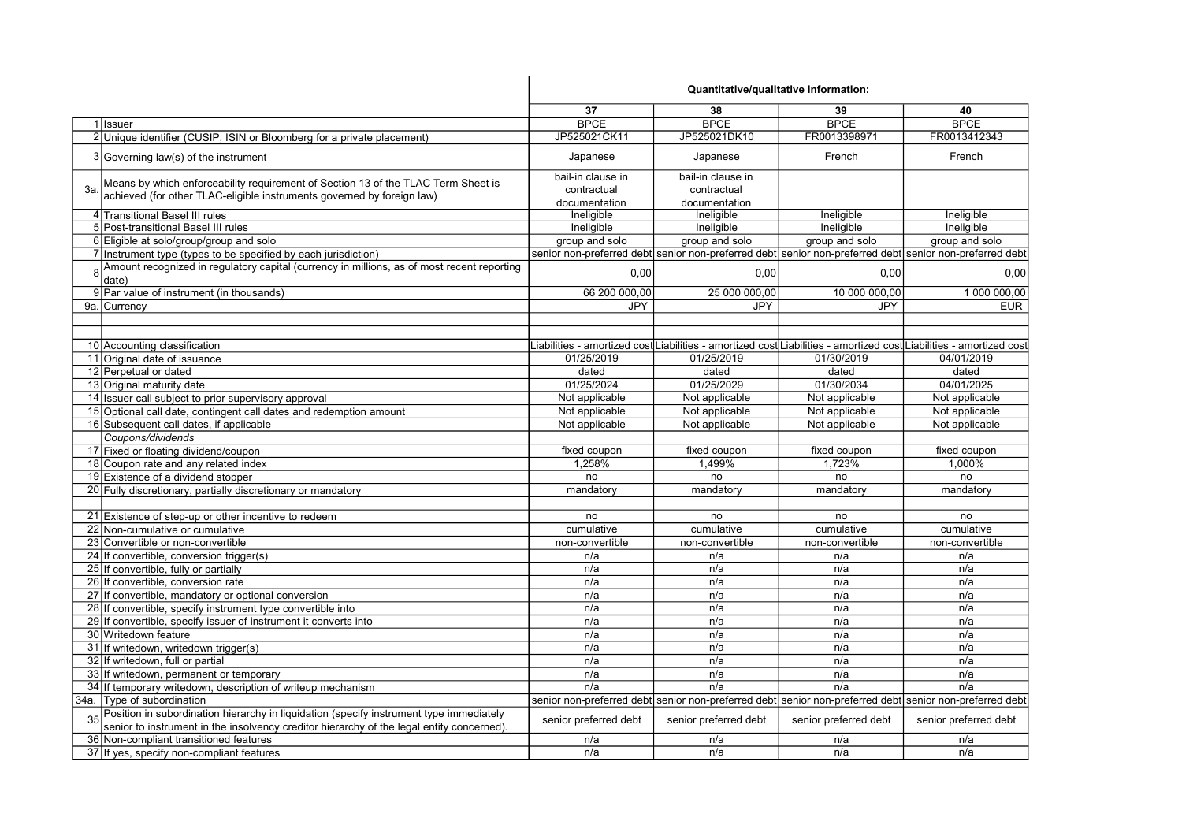|                                                                                                                                                                                         | Quantitative/qualitative information: |                       |                       |                                                                                                                     |
|-----------------------------------------------------------------------------------------------------------------------------------------------------------------------------------------|---------------------------------------|-----------------------|-----------------------|---------------------------------------------------------------------------------------------------------------------|
|                                                                                                                                                                                         | 37                                    | 38                    | 39                    | 40                                                                                                                  |
| 1 Issuer                                                                                                                                                                                | <b>BPCE</b>                           | <b>BPCE</b>           | <b>BPCE</b>           | <b>BPCE</b>                                                                                                         |
| 2 Unique identifier (CUSIP, ISIN or Bloomberg for a private placement)                                                                                                                  | JP525021CK11                          | JP525021DK10          | FR0013398971          | FR0013412343                                                                                                        |
| 3 Governing law(s) of the instrument                                                                                                                                                    | Japanese                              | Japanese              | French                | French                                                                                                              |
| Means by which enforceability requirement of Section 13 of the TLAC Term Sheet is                                                                                                       | bail-in clause in                     | bail-in clause in     |                       |                                                                                                                     |
| 3a<br>achieved (for other TLAC-eligible instruments governed by foreign law)                                                                                                            | contractual                           | contractual           |                       |                                                                                                                     |
|                                                                                                                                                                                         | documentation                         | documentation         |                       |                                                                                                                     |
| 4 Transitional Basel III rules                                                                                                                                                          | Ineligible                            | Ineligible            | Ineligible            | Ineligible                                                                                                          |
| 5 Post-transitional Basel III rules                                                                                                                                                     | Ineligible                            | Ineligible            | Ineligible            | Ineligible                                                                                                          |
| 6 Eligible at solo/group/group and solo                                                                                                                                                 | group and solo                        | group and solo        | group and solo        | group and solo                                                                                                      |
| 7 Instrument type (types to be specified by each jurisdiction)                                                                                                                          |                                       |                       |                       | senior non-preferred debt senior non-preferred debt senior non-preferred debt senior non-preferred debt             |
| 8 Amount recognized in regulatory capital (currency in millions, as of most recent reporting<br>date)                                                                                   | 0,00                                  | 0,00                  | 0.00                  | 0,00                                                                                                                |
| 9 Par value of instrument (in thousands)                                                                                                                                                | 66 200 000,00                         | 25 000 000,00         | 10 000 000,00         | 1 000 000,00                                                                                                        |
| 9a. Currency                                                                                                                                                                            | JPY                                   | <b>JPY</b>            | JPY                   | <b>EUR</b>                                                                                                          |
|                                                                                                                                                                                         |                                       |                       |                       |                                                                                                                     |
| 10 Accounting classification                                                                                                                                                            |                                       |                       |                       | Liabilities - amortized cost∣Liabilities - amortized cost∣Liabilities - amortized cost∣Liabilities - amortized cost |
| 11 Original date of issuance                                                                                                                                                            | 01/25/2019                            | 01/25/2019            | 01/30/2019            | 04/01/2019                                                                                                          |
| 12 Perpetual or dated                                                                                                                                                                   | dated                                 | dated                 | dated                 | dated                                                                                                               |
| 13 Original maturity date                                                                                                                                                               | 01/25/2024                            | 01/25/2029            | 01/30/2034            | 04/01/2025                                                                                                          |
| 14 Issuer call subject to prior supervisory approval                                                                                                                                    | Not applicable                        | Not applicable        | Not applicable        | Not applicable                                                                                                      |
| 15 Optional call date, contingent call dates and redemption amount                                                                                                                      | Not applicable                        | Not applicable        | Not applicable        | Not applicable                                                                                                      |
| 16 Subsequent call dates, if applicable                                                                                                                                                 | Not applicable                        | Not applicable        | Not applicable        | Not applicable                                                                                                      |
| Coupons/dividends                                                                                                                                                                       |                                       |                       |                       |                                                                                                                     |
| 17 Fixed or floating dividend/coupon                                                                                                                                                    | fixed coupon                          | fixed coupon          | fixed coupon          | fixed coupon                                                                                                        |
| 18 Coupon rate and any related index                                                                                                                                                    | 1,258%                                | 1,499%                | 1,723%                | 1,000%                                                                                                              |
| 19 Existence of a dividend stopper                                                                                                                                                      | no                                    | no                    | no                    | no                                                                                                                  |
| 20 Fully discretionary, partially discretionary or mandatory                                                                                                                            | mandatory                             | mandatory             | mandatory             | mandatory                                                                                                           |
|                                                                                                                                                                                         |                                       |                       |                       |                                                                                                                     |
| 21 Existence of step-up or other incentive to redeem                                                                                                                                    | no                                    | no                    | no                    | no                                                                                                                  |
| 22 Non-cumulative or cumulative                                                                                                                                                         | cumulative                            | cumulative            | cumulative            | cumulative                                                                                                          |
| 23 Convertible or non-convertible                                                                                                                                                       | non-convertible                       | non-convertible       | non-convertible       | non-convertible                                                                                                     |
| 24 If convertible, conversion trigger(s)                                                                                                                                                | n/a                                   | n/a                   | n/a                   | n/a                                                                                                                 |
| 25 If convertible, fully or partially                                                                                                                                                   | n/a                                   | n/a                   | n/a                   | n/a                                                                                                                 |
| 26 If convertible, conversion rate                                                                                                                                                      | n/a                                   | n/a                   | n/a                   | n/a                                                                                                                 |
| 27 If convertible, mandatory or optional conversion                                                                                                                                     | n/a                                   | n/a                   | n/a                   | n/a                                                                                                                 |
| 28 If convertible, specify instrument type convertible into                                                                                                                             | n/a                                   | n/a                   | n/a                   | n/a                                                                                                                 |
| 29 If convertible, specify issuer of instrument it converts into                                                                                                                        | n/a                                   | n/a                   | n/a                   | n/a                                                                                                                 |
| 30 Writedown feature                                                                                                                                                                    | n/a                                   | n/a                   | n/a                   | n/a                                                                                                                 |
| 31 If writedown, writedown trigger(s)                                                                                                                                                   | n/a                                   | n/a                   | n/a                   | n/a                                                                                                                 |
| 32 If writedown, full or partial                                                                                                                                                        | n/a                                   | n/a                   | n/a                   | n/a                                                                                                                 |
| 33 If writedown, permanent or temporary                                                                                                                                                 | n/a                                   | n/a                   | n/a                   | n/a                                                                                                                 |
| 34 If temporary writedown, description of writeup mechanism                                                                                                                             | n/a                                   | n/a                   | n/a                   | n/a                                                                                                                 |
| 34a. Type of subordination                                                                                                                                                              |                                       |                       |                       | senior non-preferred debt senior non-preferred debt senior non-preferred debt senior non-preferred debt             |
| 35 Position in subordination hierarchy in liquidation (specify instrument type immediately<br>senior to instrument in the insolvency creditor hierarchy of the legal entity concerned). | senior preferred debt                 | senior preferred debt | senior preferred debt | senior preferred debt                                                                                               |
| 36 Non-compliant transitioned features                                                                                                                                                  | n/a                                   | n/a                   | n/a                   | n/a                                                                                                                 |
| 37 If yes, specify non-compliant features                                                                                                                                               | n/a                                   | n/a                   | n/a                   | n/a                                                                                                                 |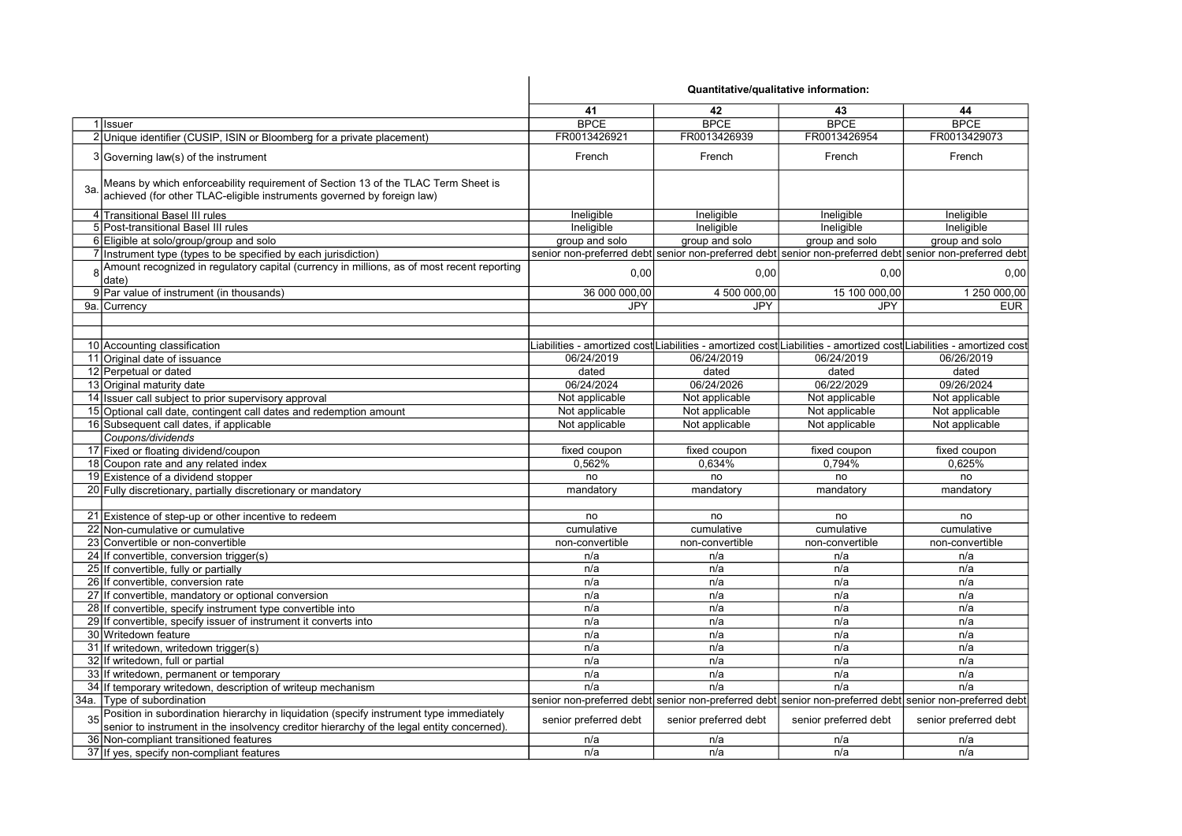|                                                                                                                                                                                      | Quantitative/qualitative information: |                       |                       |                                                                                                                     |
|--------------------------------------------------------------------------------------------------------------------------------------------------------------------------------------|---------------------------------------|-----------------------|-----------------------|---------------------------------------------------------------------------------------------------------------------|
|                                                                                                                                                                                      | 41                                    | 42                    | 43                    | 44                                                                                                                  |
| 1 Issuer                                                                                                                                                                             | <b>BPCE</b>                           | <b>BPCE</b>           | <b>BPCE</b>           | <b>BPCE</b>                                                                                                         |
| 2 Unique identifier (CUSIP, ISIN or Bloomberg for a private placement)                                                                                                               | FR0013426921                          | FR0013426939          | FR0013426954          | FR0013429073                                                                                                        |
| 3 Governing law(s) of the instrument                                                                                                                                                 | French                                | French                | French                | French                                                                                                              |
| Means by which enforceability requirement of Section 13 of the TLAC Term Sheet is<br>За.<br>achieved (for other TLAC-eligible instruments governed by foreign law)                   |                                       |                       |                       |                                                                                                                     |
| 4 Transitional Basel III rules                                                                                                                                                       | Ineligible                            | Ineligible            | Ineligible            | Ineligible                                                                                                          |
| 5 Post-transitional Basel III rules                                                                                                                                                  | Ineligible                            | Ineligible            | Ineligible            | Ineligible                                                                                                          |
| 6 Eligible at solo/group/group and solo                                                                                                                                              | group and solo                        | group and solo        | group and solo        | group and solo                                                                                                      |
| 7 Instrument type (types to be specified by each jurisdiction)                                                                                                                       |                                       |                       |                       | senior non-preferred debt senior non-preferred debt senior non-preferred debt senior non-preferred debt             |
| 8 Amount recognized in regulatory capital (currency in millions, as of most recent reporting<br>date)                                                                                | 0,00                                  | 0,00                  | 0,00                  | 0,00                                                                                                                |
| 9 Par value of instrument (in thousands)                                                                                                                                             | 36 000 000,00                         | 4 500 000,00          | 15 100 000,00         | 1 250 000,00                                                                                                        |
| 9a. Currency                                                                                                                                                                         | <b>JPY</b>                            | <b>JPY</b>            | <b>JPY</b>            | <b>EUR</b>                                                                                                          |
|                                                                                                                                                                                      |                                       |                       |                       |                                                                                                                     |
| 10 Accounting classification                                                                                                                                                         |                                       |                       |                       | Liabilities - amortized cost Liabilities - amortized cost Liabilities - amortized cost Liabilities - amortized cost |
| 11 Original date of issuance                                                                                                                                                         | 06/24/2019                            | 06/24/2019            | 06/24/2019            | 06/26/2019                                                                                                          |
| 12 Perpetual or dated                                                                                                                                                                | dated                                 | dated                 | dated                 | dated                                                                                                               |
| 13 Original maturity date                                                                                                                                                            | 06/24/2024                            | 06/24/2026            | 06/22/2029            | 09/26/2024                                                                                                          |
| 14 Issuer call subject to prior supervisory approval                                                                                                                                 | Not applicable                        | Not applicable        | Not applicable        | Not applicable                                                                                                      |
| 15 Optional call date, contingent call dates and redemption amount                                                                                                                   | Not applicable                        | Not applicable        | Not applicable        | Not applicable                                                                                                      |
| 16 Subsequent call dates, if applicable                                                                                                                                              | Not applicable                        | Not applicable        | Not applicable        | Not applicable                                                                                                      |
| Coupons/dividends                                                                                                                                                                    |                                       |                       |                       |                                                                                                                     |
| 17 Fixed or floating dividend/coupon                                                                                                                                                 | fixed coupon                          | fixed coupon          | fixed coupon          | fixed coupon                                                                                                        |
| 18 Coupon rate and any related index                                                                                                                                                 | 0.562%                                | 0.634%                | 0,794%                | 0,625%                                                                                                              |
| 19 Existence of a dividend stopper                                                                                                                                                   | no                                    | no                    | no                    | no                                                                                                                  |
| 20 Fully discretionary, partially discretionary or mandatory                                                                                                                         | mandatory                             | mandatory             | mandatory             | mandatory                                                                                                           |
|                                                                                                                                                                                      |                                       |                       |                       |                                                                                                                     |
| 21 Existence of step-up or other incentive to redeem                                                                                                                                 | no                                    | no                    | no                    | no                                                                                                                  |
| 22 Non-cumulative or cumulative                                                                                                                                                      | cumulative                            | cumulative            | cumulative            | cumulative                                                                                                          |
| 23 Convertible or non-convertible                                                                                                                                                    | non-convertible                       | non-convertible       | non-convertible       | non-convertible                                                                                                     |
| 24 If convertible, conversion trigger(s)                                                                                                                                             | n/a                                   | n/a                   | n/a                   | n/a                                                                                                                 |
| 25 If convertible, fully or partially                                                                                                                                                | n/a                                   | n/a                   | n/a                   | n/a                                                                                                                 |
| 26 If convertible, conversion rate                                                                                                                                                   | n/a                                   | n/a                   | n/a                   | n/a                                                                                                                 |
| 27 If convertible, mandatory or optional conversion                                                                                                                                  | n/a                                   | n/a                   | n/a                   | n/a                                                                                                                 |
| 28 If convertible, specify instrument type convertible into                                                                                                                          | n/a                                   | n/a                   | n/a                   | n/a                                                                                                                 |
| 29 If convertible, specify issuer of instrument it converts into                                                                                                                     | n/a                                   | n/a                   | n/a                   | n/a                                                                                                                 |
| 30 Writedown feature                                                                                                                                                                 | n/a                                   | n/a                   | n/a                   | n/a                                                                                                                 |
| 31 If writedown, writedown trigger(s)                                                                                                                                                | n/a                                   | n/a                   | n/a                   | n/a                                                                                                                 |
| 32 If writedown, full or partial                                                                                                                                                     | n/a                                   | n/a                   | n/a                   | n/a                                                                                                                 |
| 33 If writedown, permanent or temporary                                                                                                                                              | n/a                                   | n/a                   | n/a                   | n/a                                                                                                                 |
| 34 If temporary writedown, description of writeup mechanism                                                                                                                          | n/a                                   | n/a                   | n/a                   | n/a                                                                                                                 |
| 34a. Type of subordination                                                                                                                                                           |                                       |                       |                       | senior non-preferred debt senior non-preferred debt senior non-preferred debt senior non-preferred debt             |
| Position in subordination hierarchy in liquidation (specify instrument type immediately<br>senior to instrument in the insolvency creditor hierarchy of the legal entity concerned). | senior preferred debt                 | senior preferred debt | senior preferred debt | senior preferred debt                                                                                               |
| 36 Non-compliant transitioned features                                                                                                                                               | n/a                                   | n/a                   | n/a                   | n/a                                                                                                                 |
| 37 If yes, specify non-compliant features                                                                                                                                            | n/a                                   | n/a                   | n/a                   | n/a                                                                                                                 |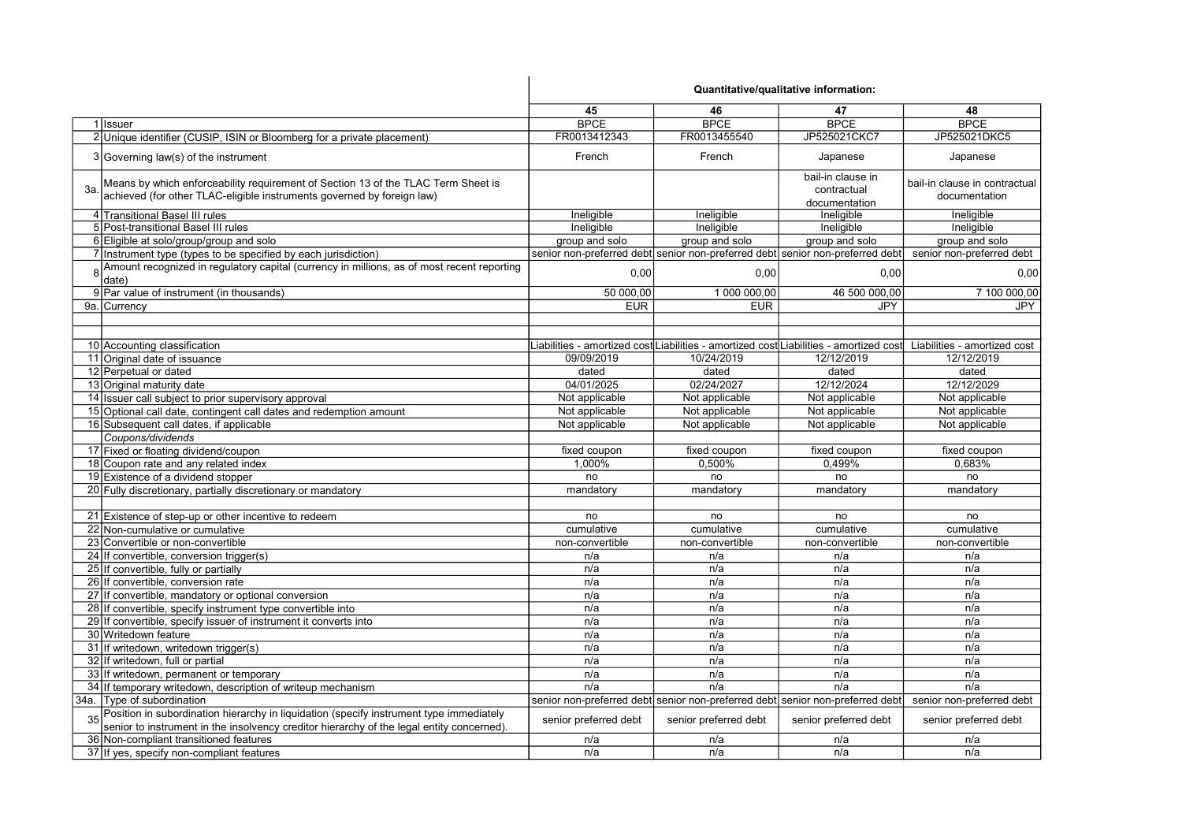|                                                                                                                                                                                      | Quantitative/qualitative information: |                       |                                                                                                              |                                                |
|--------------------------------------------------------------------------------------------------------------------------------------------------------------------------------------|---------------------------------------|-----------------------|--------------------------------------------------------------------------------------------------------------|------------------------------------------------|
|                                                                                                                                                                                      | 45                                    | 46                    | 47                                                                                                           | 48                                             |
| 1 Issuer                                                                                                                                                                             | <b>BPCE</b>                           | <b>BPCE</b>           | <b>BPCE</b>                                                                                                  | <b>BPCE</b>                                    |
| 2 Unique identifier (CUSIP, ISIN or Bloomberg for a private placement)                                                                                                               | FR0013412343                          | FR0013455540          | JP525021CKC7                                                                                                 | JP525021DKC5                                   |
| 3 Governing law(s) of the instrument                                                                                                                                                 | French                                | French                | Japanese                                                                                                     | Japanese                                       |
| Means by which enforceability requirement of Section 13 of the TLAC Term Sheet is<br>3a<br>achieved (for other TLAC-eligible instruments governed by foreign law)                    |                                       |                       | bail-in clause in<br>contractual<br>documentation                                                            | bail-in clause in contractual<br>documentation |
| 4 Transitional Basel III rules                                                                                                                                                       | Ineligible                            | Ineligible            | Ineligible                                                                                                   | Ineligible                                     |
| 5 Post-transitional Basel III rules                                                                                                                                                  | Ineligible                            | Ineligible            | Ineligible                                                                                                   | Ineligible                                     |
| 6 Eligible at solo/group/group and solo                                                                                                                                              | group and solo                        | group and solo        | group and solo                                                                                               | group and solo                                 |
| 7 Instrument type (types to be specified by each jurisdiction)                                                                                                                       |                                       |                       | senior non-preferred debt senior non-preferred debt senior non-preferred debt                                | senior non-preferred debt                      |
| 8 Amount recognized in regulatory capital (currency in millions, as of most recent reporting<br>date)                                                                                | 0,00                                  | 0,00                  | 0,00                                                                                                         | 0,00                                           |
| 9 Par value of instrument (in thousands)                                                                                                                                             | 50 000,00                             | 1 000 000,00          | 46 500 000,00                                                                                                | 7 100 000,00                                   |
| 9a. Currency                                                                                                                                                                         | <b>EUR</b>                            | <b>EUR</b>            | <b>JPY</b>                                                                                                   | <b>JPY</b>                                     |
|                                                                                                                                                                                      |                                       |                       |                                                                                                              |                                                |
| 10 Accounting classification                                                                                                                                                         |                                       |                       | Liabilities - amortized cost $\sf L$ iabilities - amortized cost $\sf L$ iabilities - amortized cost $\sf L$ | Liabilities - amortized cost                   |
| 11 Original date of issuance                                                                                                                                                         | 09/09/2019                            | 10/24/2019            | 12/12/2019                                                                                                   | 12/12/2019                                     |
| 12 Perpetual or dated                                                                                                                                                                | dated                                 | dated                 | dated                                                                                                        | dated                                          |
| 13 Original maturity date                                                                                                                                                            | 04/01/2025                            | 02/24/2027            | 12/12/2024                                                                                                   | 12/12/2029                                     |
| 14 Issuer call subject to prior supervisory approval                                                                                                                                 | Not applicable                        | Not applicable        | Not applicable                                                                                               | Not applicable                                 |
| 15 Optional call date, contingent call dates and redemption amount                                                                                                                   | Not applicable                        | Not applicable        | Not applicable                                                                                               | Not applicable                                 |
| 16 Subsequent call dates, if applicable                                                                                                                                              | Not applicable                        | Not applicable        | Not applicable                                                                                               | Not applicable                                 |
| Coupons/dividends                                                                                                                                                                    |                                       |                       |                                                                                                              |                                                |
| 17 Fixed or floating dividend/coupon                                                                                                                                                 | fixed coupon                          | fixed coupon          | fixed coupon                                                                                                 | fixed coupon                                   |
| 18 Coupon rate and any related index                                                                                                                                                 | 1.000%                                | 0.500%                | 0.499%                                                                                                       | 0.683%                                         |
| 19 Existence of a dividend stopper                                                                                                                                                   | no                                    | no                    | no                                                                                                           | no                                             |
| 20 Fully discretionary, partially discretionary or mandatory                                                                                                                         | mandatory                             | mandatory             | mandatory                                                                                                    | mandatory                                      |
|                                                                                                                                                                                      |                                       |                       |                                                                                                              |                                                |
| 21 Existence of step-up or other incentive to redeem                                                                                                                                 | no                                    | no                    | no                                                                                                           | no                                             |
| 22 Non-cumulative or cumulative                                                                                                                                                      | cumulative                            | cumulative            | cumulative                                                                                                   | cumulative                                     |
| 23 Convertible or non-convertible                                                                                                                                                    | non-convertible                       | non-convertible       | non-convertible                                                                                              | non-convertible                                |
| 24 If convertible, conversion trigger(s)                                                                                                                                             | n/a                                   | n/a                   | n/a                                                                                                          | n/a                                            |
| 25 If convertible, fully or partially                                                                                                                                                | n/a                                   | n/a                   | n/a                                                                                                          | n/a                                            |
| 26 If convertible, conversion rate                                                                                                                                                   | n/a                                   | n/a                   | n/a                                                                                                          | n/a                                            |
| 27 If convertible, mandatory or optional conversion                                                                                                                                  | n/a                                   | n/a                   | n/a                                                                                                          | n/a                                            |
| 28 If convertible, specify instrument type convertible into                                                                                                                          | n/a                                   | n/a                   | n/a                                                                                                          | n/a                                            |
| 29 If convertible, specify issuer of instrument it converts into                                                                                                                     | n/a                                   | n/a                   | n/a                                                                                                          | n/a                                            |
| 30 Writedown feature                                                                                                                                                                 | n/a                                   | n/a                   | n/a                                                                                                          | n/a                                            |
| 31 If writedown, writedown trigger(s)                                                                                                                                                | n/a                                   | n/a                   | n/a                                                                                                          | n/a                                            |
| 32 If writedown, full or partial                                                                                                                                                     | n/a                                   | n/a                   | n/a                                                                                                          | n/a                                            |
| 33 If writedown, permanent or temporary                                                                                                                                              | n/a                                   | n/a                   | n/a                                                                                                          | n/a                                            |
| 34 If temporary writedown, description of writeup mechanism                                                                                                                          | n/a                                   | n/a                   | n/a                                                                                                          | n/a                                            |
| 34a. Type of subordination                                                                                                                                                           |                                       |                       | senior non-preferred debt senior non-preferred debt senior non-preferred debt                                | senior non-preferred debt                      |
| Position in subordination hierarchy in liquidation (specify instrument type immediately<br>senior to instrument in the insolvency creditor hierarchy of the legal entity concerned). | senior preferred debt                 | senior preferred debt | senior preferred debt                                                                                        | senior preferred debt                          |
| 36 Non-compliant transitioned features                                                                                                                                               | n/a                                   | n/a                   | n/a                                                                                                          | n/a                                            |
| 37 If yes, specify non-compliant features                                                                                                                                            | n/a                                   | n/a                   | n/a                                                                                                          | n/a                                            |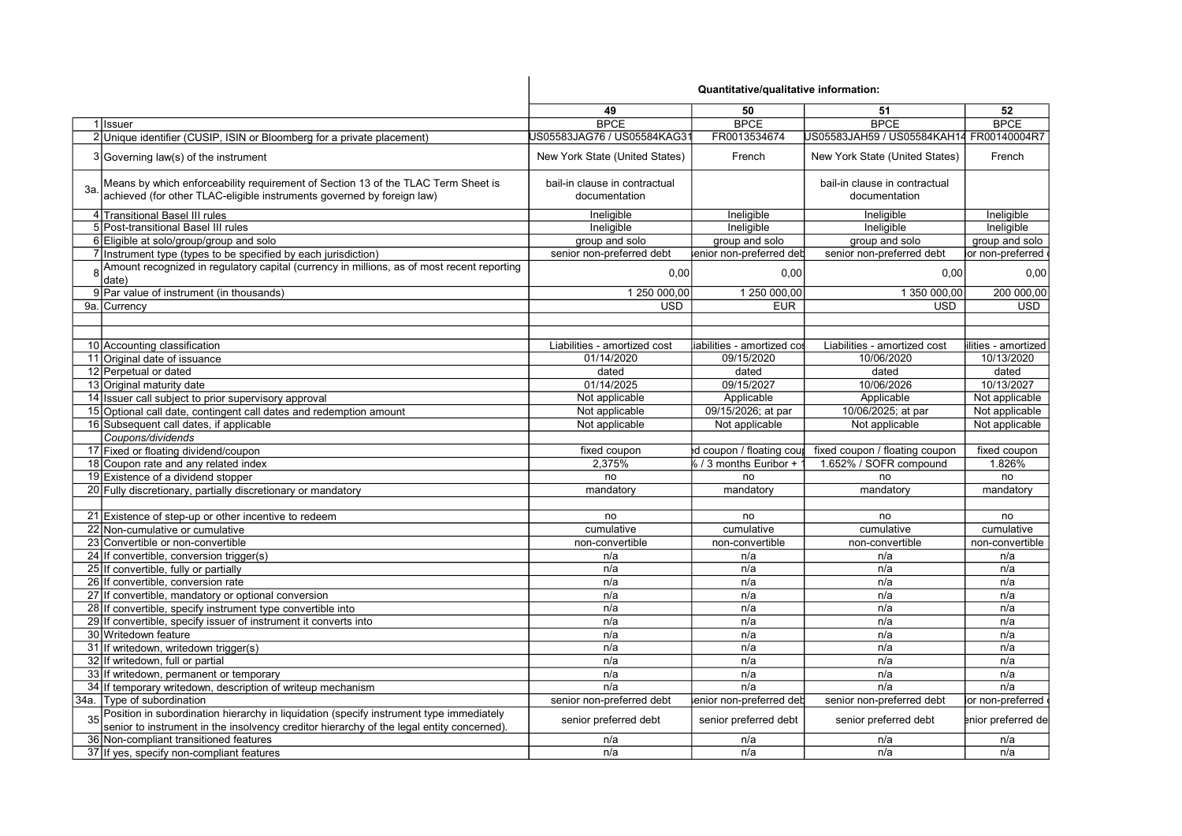|     |                                                                                                                                                                                      | Quantitative/qualitative information:          |                            |                                                |                     |
|-----|--------------------------------------------------------------------------------------------------------------------------------------------------------------------------------------|------------------------------------------------|----------------------------|------------------------------------------------|---------------------|
|     |                                                                                                                                                                                      | 49                                             | 50                         | 51                                             | 52                  |
|     | 1 Issuer                                                                                                                                                                             | <b>BPCE</b>                                    | <b>BPCE</b>                | <b>BPCE</b>                                    | <b>BPCE</b>         |
|     | 2 Unique identifier (CUSIP, ISIN or Bloomberg for a private placement)                                                                                                               | JS05583JAG76 / US05584KAG31                    | FR0013534674               | JS05583JAH59 / US05584KAH14 FR00140004R7       |                     |
|     | 3 Governing law(s) of the instrument                                                                                                                                                 | New York State (United States)                 | French                     | New York State (United States)                 | French              |
| За. | Means by which enforceability requirement of Section 13 of the TLAC Term Sheet is<br>achieved (for other TLAC-eligible instruments governed by foreign law)                          | bail-in clause in contractual<br>documentation |                            | bail-in clause in contractual<br>documentation |                     |
|     | 4 Transitional Basel III rules                                                                                                                                                       | Ineligible                                     | Ineligible                 | Ineligible                                     | Ineligible          |
|     | 5 Post-transitional Basel III rules                                                                                                                                                  | Ineligible                                     | Ineligible                 | Ineligible                                     | Ineligible          |
|     | 6 Eligible at solo/group/group and solo                                                                                                                                              | group and solo                                 | group and solo             | group and solo                                 | group and solo      |
|     | 7 Instrument type (types to be specified by each jurisdiction)                                                                                                                       | senior non-preferred debt                      | enior non-preferred det    | senior non-preferred debt                      | or non-preferred    |
| 8   | Amount recognized in regulatory capital (currency in millions, as of most recent reporting<br>date)                                                                                  | 0,00                                           | 0,00                       | 0,00                                           | 0,00                |
|     | 9 Par value of instrument (in thousands)                                                                                                                                             | 1 250 000,00                                   | 1 250 000,00               | 1 350 000,00                                   | 200 000,00          |
|     | 9a. Currency                                                                                                                                                                         | <b>USD</b>                                     | <b>EUR</b>                 | <b>USD</b>                                     | <b>USD</b>          |
|     |                                                                                                                                                                                      |                                                |                            |                                                |                     |
|     | 10 Accounting classification                                                                                                                                                         | Liabilities - amortized cost                   | iabilities - amortized cos | Liabilities - amortized cost                   | ilities - amortized |
|     | 11 Original date of issuance                                                                                                                                                         | 01/14/2020                                     | 09/15/2020                 | 10/06/2020                                     | 10/13/2020          |
|     | 12 Perpetual or dated                                                                                                                                                                | dated                                          | dated                      | dated                                          | dated               |
|     | 13 Original maturity date                                                                                                                                                            | 01/14/2025                                     | 09/15/2027                 | 10/06/2026                                     | 10/13/2027          |
|     | 14 Issuer call subject to prior supervisory approval                                                                                                                                 | Not applicable                                 | Applicable                 | Applicable                                     | Not applicable      |
|     | 15 Optional call date, contingent call dates and redemption amount                                                                                                                   | Not applicable                                 | 09/15/2026; at par         | 10/06/2025; at par                             | Not applicable      |
|     | 16 Subsequent call dates, if applicable                                                                                                                                              | Not applicable                                 | Not applicable             | Not applicable                                 | Not applicable      |
|     | Coupons/dividends                                                                                                                                                                    |                                                |                            |                                                |                     |
|     | 17 Fixed or floating dividend/coupon                                                                                                                                                 | fixed coupon                                   | d coupon / floating coup   | fixed coupon / floating coupon                 | fixed coupon        |
|     | 18 Coupon rate and any related index                                                                                                                                                 | 2,375%                                         | $6/3$ months Euribor +     | 1.652% / SOFR compound                         | 1.826%              |
|     | 19 Existence of a dividend stopper                                                                                                                                                   | no                                             | no                         | no                                             | no                  |
|     | 20 Fully discretionary, partially discretionary or mandatory                                                                                                                         | mandatory                                      | mandatory                  | mandatory                                      | mandatory           |
|     |                                                                                                                                                                                      |                                                |                            |                                                |                     |
|     | 21 Existence of step-up or other incentive to redeem                                                                                                                                 | no                                             | no                         | no                                             | no                  |
|     | 22 Non-cumulative or cumulative                                                                                                                                                      | cumulative                                     | cumulative                 | cumulative                                     | cumulative          |
|     | 23 Convertible or non-convertible                                                                                                                                                    | non-convertible                                | non-convertible            | non-convertible                                | non-convertible     |
|     | 24 If convertible, conversion trigger(s)                                                                                                                                             | n/a                                            | n/a                        | n/a                                            | n/a                 |
|     | 25 If convertible, fully or partially                                                                                                                                                | n/a                                            | n/a                        | n/a                                            | n/a                 |
|     | 26 If convertible, conversion rate                                                                                                                                                   | n/a                                            | n/a                        | n/a                                            | n/a                 |
|     | 27 If convertible, mandatory or optional conversion                                                                                                                                  | n/a                                            | n/a                        | n/a                                            | n/a                 |
|     | 28 If convertible, specify instrument type convertible into                                                                                                                          | n/a                                            | n/a                        | n/a                                            | n/a                 |
|     | 29 If convertible, specify issuer of instrument it converts into                                                                                                                     | n/a                                            | n/a                        | n/a                                            | n/a                 |
|     | 30 Writedown feature                                                                                                                                                                 | n/a                                            | n/a                        | n/a                                            | n/a                 |
|     | 31 If writedown, writedown trigger(s)                                                                                                                                                | n/a                                            | n/a                        | n/a                                            | n/a                 |
|     | 32 If writedown, full or partial                                                                                                                                                     | n/a                                            | n/a                        | n/a                                            | n/a                 |
|     | 33 If writedown, permanent or temporary                                                                                                                                              | n/a                                            | n/a                        | n/a                                            | n/a                 |
|     | 34 If temporary writedown, description of writeup mechanism                                                                                                                          | n/a                                            | n/a                        | n/a                                            | n/a                 |
|     | 34a. Type of subordination                                                                                                                                                           | senior non-preferred debt                      | enior non-preferred deb    | senior non-preferred debt                      | or non-preferred    |
|     | Position in subordination hierarchy in liquidation (specify instrument type immediately<br>senior to instrument in the insolvency creditor hierarchy of the legal entity concerned). | senior preferred debt                          | senior preferred debt      | senior preferred debt                          | enior preferred de  |
|     | 36 Non-compliant transitioned features                                                                                                                                               | n/a                                            | n/a                        | n/a                                            | n/a                 |
|     | 37 If yes, specify non-compliant features                                                                                                                                            | n/a                                            | n/a                        | n/a                                            | n/a                 |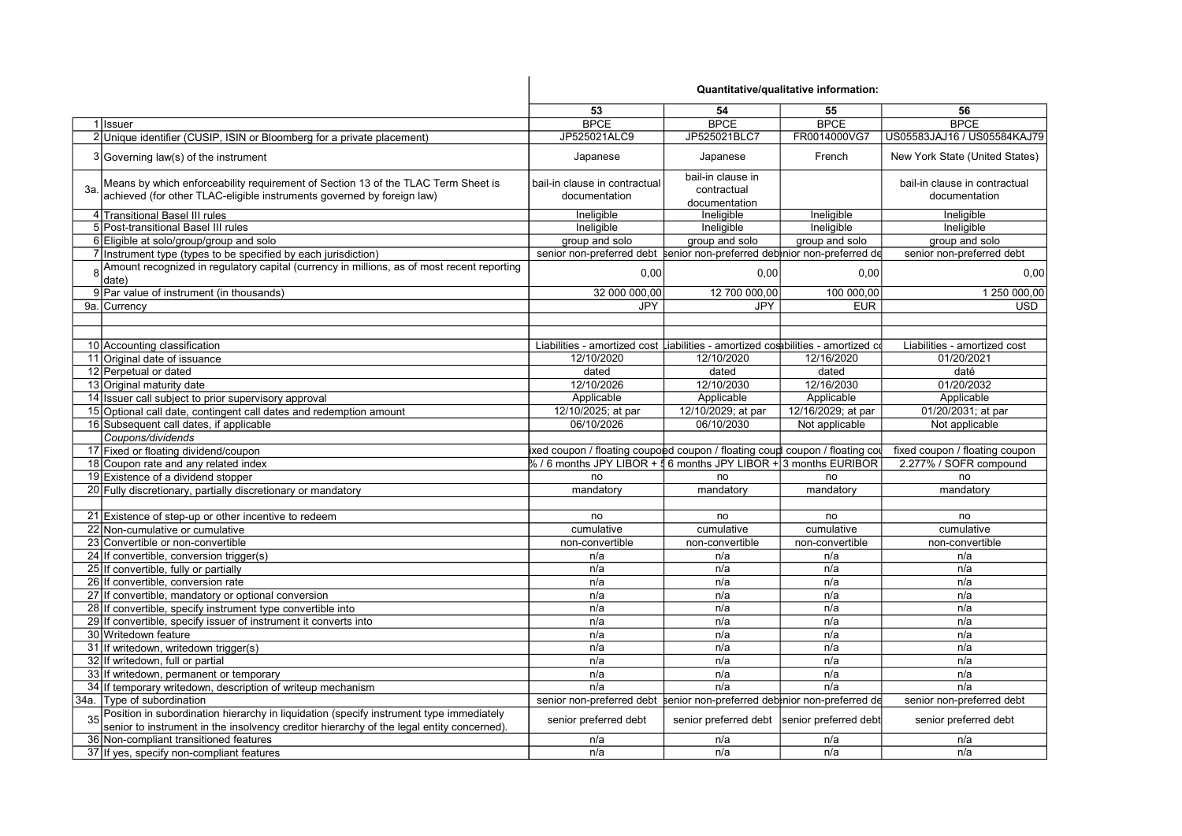|     |                                                                                                                                                             | Quantitative/qualitative information:                                             |                                                   |                    |                                                |
|-----|-------------------------------------------------------------------------------------------------------------------------------------------------------------|-----------------------------------------------------------------------------------|---------------------------------------------------|--------------------|------------------------------------------------|
|     |                                                                                                                                                             | 53                                                                                | 54                                                | 55                 | 56                                             |
|     | 1 Issuer                                                                                                                                                    | <b>BPCE</b>                                                                       | <b>BPCE</b>                                       | <b>BPCE</b>        | <b>BPCE</b>                                    |
|     | 2 Unique identifier (CUSIP, ISIN or Bloomberg for a private placement)                                                                                      | JP525021ALC9                                                                      | JP525021BLC7                                      | FR0014000VG7       | US05583JAJ16 / US05584KAJ79                    |
|     | 3 Governing law(s) of the instrument                                                                                                                        | Japanese                                                                          | Japanese                                          | French             | New York State (United States)                 |
| За. | Means by which enforceability requirement of Section 13 of the TLAC Term Sheet is<br>achieved (for other TLAC-eligible instruments governed by foreign law) | bail-in clause in contractual<br>documentation                                    | bail-in clause in<br>contractual<br>documentation |                    | bail-in clause in contractual<br>documentation |
|     | 4 Transitional Basel III rules                                                                                                                              | Ineligible                                                                        | Ineligible                                        | Ineligible         | Ineligible                                     |
|     | 5 Post-transitional Basel III rules                                                                                                                         | Ineligible                                                                        | Ineligible                                        | Ineligible         | Ineligible                                     |
|     | 6 Eligible at solo/group/group and solo                                                                                                                     | group and solo                                                                    | group and solo                                    | group and solo     | group and solo                                 |
|     | 7 Instrument type (types to be specified by each jurisdiction)                                                                                              | senior non-preferred debt senior non-preferred debtnior non-preferred de          |                                                   |                    | senior non-preferred debt                      |
|     | 8 Amount recognized in regulatory capital (currency in millions, as of most recent reporting<br>date)                                                       | 0.00                                                                              | 0,00                                              | 0.00               | 0,00                                           |
|     | 9 Par value of instrument (in thousands)                                                                                                                    | 32 000 000,00                                                                     | 12 700 000,00                                     | 100 000,00         | 1 250 000,00                                   |
|     | 9a. Currency                                                                                                                                                | JPY                                                                               | JPY                                               | <b>EUR</b>         | <b>USD</b>                                     |
|     |                                                                                                                                                             |                                                                                   |                                                   |                    |                                                |
|     | 10 Accounting classification                                                                                                                                | Liabilities - amortized cost Liabilities - amortized costibilities - amortized co |                                                   |                    | Liabilities - amortized cost                   |
|     | 11 Original date of issuance                                                                                                                                | 12/10/2020                                                                        | 12/10/2020                                        | 12/16/2020         | 01/20/2021                                     |
|     | 12 Perpetual or dated                                                                                                                                       | dated                                                                             | dated                                             | dated              | daté                                           |
|     | 13 Original maturity date                                                                                                                                   | 12/10/2026                                                                        | 12/10/2030                                        | 12/16/2030         | 01/20/2032                                     |
|     | 14 Issuer call subject to prior supervisory approval                                                                                                        | Applicable                                                                        | Applicable                                        | Applicable         | Applicable                                     |
|     | 15 Optional call date, contingent call dates and redemption amount                                                                                          | 12/10/2025; at par                                                                | 12/10/2029; at par                                | 12/16/2029; at par | 01/20/2031; at par                             |
|     | 16 Subsequent call dates, if applicable                                                                                                                     | 06/10/2026                                                                        | 06/10/2030                                        | Not applicable     | Not applicable                                 |
|     | Coupons/dividends                                                                                                                                           |                                                                                   |                                                   |                    |                                                |
|     | 17 Fixed or floating dividend/coupon                                                                                                                        | ixed coupon / floating coupoed coupon / floating coup  coupon / floating cou      |                                                   |                    | fixed coupon / floating coupon                 |
|     | 18 Coupon rate and any related index                                                                                                                        | % / 6 months JPY LIBOR + 5 6 months JPY LIBOR + 3 months EURIBOR                  |                                                   |                    | 2.277% / SOFR compound                         |
|     | 19 Existence of a dividend stopper                                                                                                                          | no                                                                                | no                                                | no                 | no                                             |
|     | 20 Fully discretionary, partially discretionary or mandatory                                                                                                | mandatory                                                                         | mandatory                                         | mandatory          | mandatory                                      |
|     |                                                                                                                                                             |                                                                                   |                                                   |                    |                                                |
|     | 21 Existence of step-up or other incentive to redeem                                                                                                        | no                                                                                | no                                                | no                 | no                                             |
|     | 22 Non-cumulative or cumulative                                                                                                                             | cumulative                                                                        | cumulative                                        | cumulative         | cumulative                                     |
|     | 23 Convertible or non-convertible                                                                                                                           | non-convertible                                                                   | non-convertible                                   | non-convertible    | non-convertible                                |
|     | 24 If convertible, conversion trigger(s)                                                                                                                    | n/a                                                                               | n/a                                               | n/a                | n/a                                            |
|     | 25 If convertible, fully or partially                                                                                                                       | n/a                                                                               | n/a                                               | n/a                | n/a                                            |
|     | 26 If convertible, conversion rate                                                                                                                          | n/a                                                                               | n/a                                               | n/a                | n/a                                            |
|     | 27 If convertible, mandatory or optional conversion                                                                                                         | n/a                                                                               | n/a                                               | n/a                | n/a                                            |
|     | 28 If convertible, specify instrument type convertible into                                                                                                 | n/a                                                                               | n/a                                               | n/a                | n/a                                            |
|     | 29 If convertible, specify issuer of instrument it converts into                                                                                            | n/a                                                                               | n/a                                               | n/a                | n/a                                            |
|     | 30 Writedown feature                                                                                                                                        | n/a                                                                               | n/a                                               | n/a                | n/a                                            |
|     | 31 If writedown, writedown trigger(s)                                                                                                                       | n/a                                                                               | n/a                                               | n/a                | n/a                                            |
|     | 32 If writedown, full or partial                                                                                                                            | n/a                                                                               | n/a                                               | n/a                | n/a                                            |
|     | 33 If writedown, permanent or temporary                                                                                                                     | n/a                                                                               | n/a                                               | n/a                | n/a                                            |
|     | 34 If temporary writedown, description of writeup mechanism                                                                                                 | n/a                                                                               | n/a                                               | n/a                | n/a                                            |
|     | 34a. Type of subordination                                                                                                                                  | senior non-preferred debt                                                         | senior non-preferred debinior non-preferred de    |                    | senior non-preferred debt                      |
|     | 35 Position in subordination hierarchy in liquidation (specify instrument type immediately                                                                  |                                                                                   |                                                   |                    |                                                |
|     | senior to instrument in the insolvency creditor hierarchy of the legal entity concerned).                                                                   | senior preferred debt                                                             | senior preferred debt  senior preferred debt      |                    | senior preferred debt                          |
|     | 36 Non-compliant transitioned features                                                                                                                      | n/a                                                                               | n/a                                               | n/a                | n/a                                            |
|     | 37 If yes, specify non-compliant features                                                                                                                   | n/a                                                                               | n/a                                               | n/a                | n/a                                            |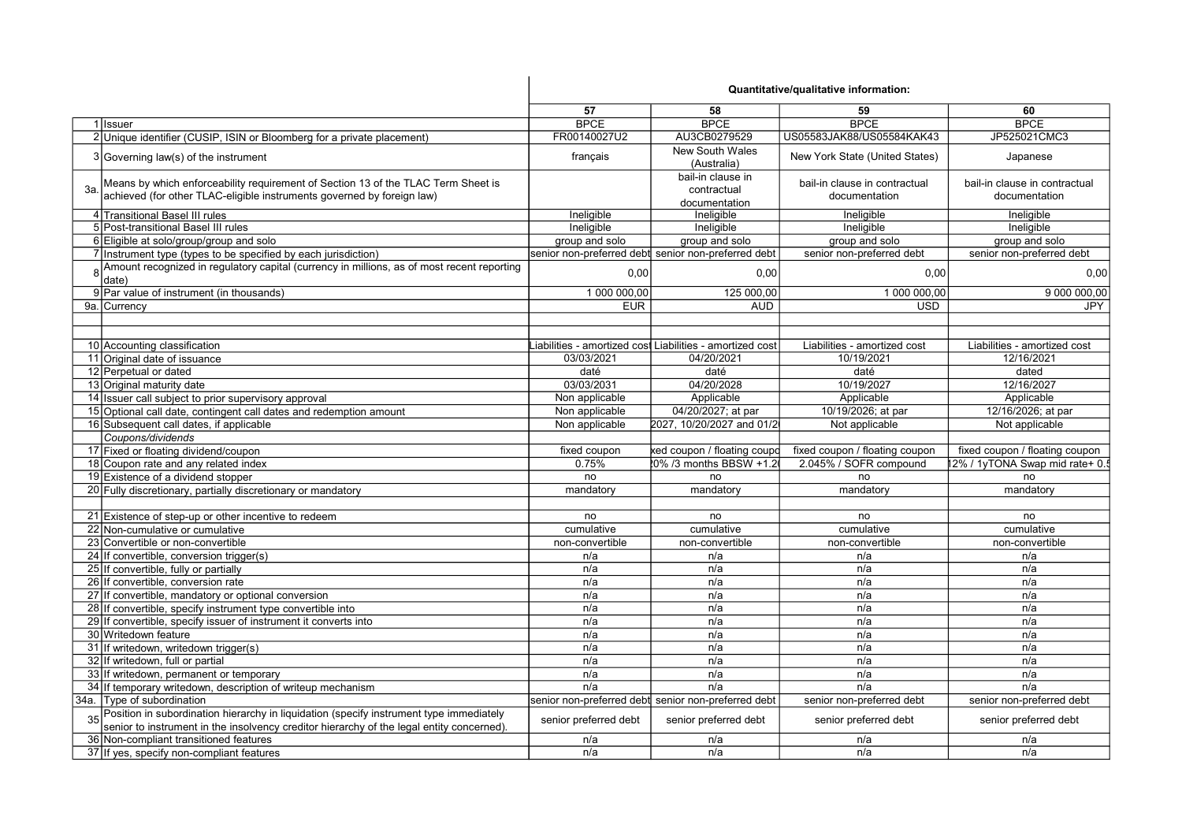|     |                                                                                                                                                                                         | Quantitative/qualitative information: |                                                          |                                                |                                                |
|-----|-----------------------------------------------------------------------------------------------------------------------------------------------------------------------------------------|---------------------------------------|----------------------------------------------------------|------------------------------------------------|------------------------------------------------|
|     |                                                                                                                                                                                         | 57                                    | 58                                                       | 59                                             | 60                                             |
|     | 1 Issuer                                                                                                                                                                                | <b>BPCE</b>                           | <b>BPCE</b>                                              | <b>BPCE</b>                                    | <b>BPCE</b>                                    |
|     | 2 Unique identifier (CUSIP, ISIN or Bloomberg for a private placement)                                                                                                                  | FR00140027U2                          | AU3CB0279529                                             | US05583JAK88/US05584KAK43                      | JP525021CMC3                                   |
|     | 3 Governing law(s) of the instrument                                                                                                                                                    | français                              | <b>New South Wales</b><br>(Australia)                    | New York State (United States)                 | Japanese                                       |
| За. | Means by which enforceability requirement of Section 13 of the TLAC Term Sheet is<br>achieved (for other TLAC-eligible instruments governed by foreign law)                             |                                       | bail-in clause in<br>contractual<br>documentation        | bail-in clause in contractual<br>documentation | bail-in clause in contractual<br>documentation |
|     | 4 Transitional Basel III rules                                                                                                                                                          | Ineligible                            | Ineligible                                               | Ineligible                                     | Ineligible                                     |
|     | 5 Post-transitional Basel III rules                                                                                                                                                     | Ineligible                            | Ineligible                                               | Ineligible                                     | Ineligible                                     |
|     | 6 Eligible at solo/group/group and solo                                                                                                                                                 | group and solo                        | group and solo                                           | group and solo                                 | group and solo                                 |
|     | 7 Instrument type (types to be specified by each jurisdiction)                                                                                                                          |                                       | senior non-preferred debt senior non-preferred debt      | senior non-preferred debt                      | senior non-preferred debt                      |
|     | 8 Amount recognized in regulatory capital (currency in millions, as of most recent reporting<br>date)                                                                                   | 0.00                                  | 0,00                                                     | 0.00                                           | 0,00                                           |
|     | 9 Par value of instrument (in thousands)                                                                                                                                                | 1 000 000,00                          | 125 000,00                                               | 1 000 000,00                                   | 9 000 000,00                                   |
|     | 9a. Currency                                                                                                                                                                            | <b>EUR</b>                            | <b>AUD</b>                                               | <b>USD</b>                                     | JPY                                            |
|     |                                                                                                                                                                                         |                                       |                                                          |                                                |                                                |
|     | 10 Accounting classification                                                                                                                                                            |                                       | iabilities - amortized cost Liabilities - amortized cost | Liabilities - amortized cost                   | Liabilities - amortized cost                   |
|     | 11 Original date of issuance                                                                                                                                                            | 03/03/2021                            | 04/20/2021                                               | 10/19/2021                                     | 12/16/2021                                     |
|     | 12 Perpetual or dated                                                                                                                                                                   | daté                                  | daté                                                     | daté                                           | dated                                          |
|     | 13 Original maturity date                                                                                                                                                               | 03/03/2031                            | 04/20/2028                                               | 10/19/2027                                     | 12/16/2027                                     |
|     | 14 Issuer call subject to prior supervisory approval                                                                                                                                    | Non applicable                        | Applicable                                               | Applicable                                     | Applicable                                     |
|     | 15 Optional call date, contingent call dates and redemption amount                                                                                                                      | Non applicable                        | 04/20/2027; at par                                       | 10/19/2026; at par                             | 12/16/2026; at par                             |
|     | 16 Subsequent call dates, if applicable                                                                                                                                                 | Non applicable                        | 2027, 10/20/2027 and 01/2                                | Not applicable                                 | Not applicable                                 |
|     | Coupons/dividends                                                                                                                                                                       |                                       |                                                          |                                                |                                                |
|     | 17 Fixed or floating dividend/coupon                                                                                                                                                    | fixed coupon                          | ked coupon / floating coupc                              | fixed coupon / floating coupon                 | fixed coupon / floating coupon                 |
|     | 18 Coupon rate and any related index                                                                                                                                                    | 0.75%                                 | 0% /3 months BBSW +1.2                                   | 2.045% / SOFR compound                         | 2% / 1yTONA Swap mid rate+ 0.5                 |
|     | 19 Existence of a dividend stopper                                                                                                                                                      | no                                    | no                                                       | no                                             | no                                             |
|     | 20 Fully discretionary, partially discretionary or mandatory                                                                                                                            | mandatory                             | mandatory                                                | mandatory                                      | mandatory                                      |
|     |                                                                                                                                                                                         |                                       |                                                          |                                                |                                                |
|     | 21 Existence of step-up or other incentive to redeem                                                                                                                                    | no                                    | no                                                       | no                                             | no                                             |
|     | 22 Non-cumulative or cumulative                                                                                                                                                         | cumulative                            | cumulative                                               | cumulative                                     | cumulative                                     |
|     | 23 Convertible or non-convertible                                                                                                                                                       | non-convertible                       | non-convertible                                          | non-convertible                                | non-convertible                                |
|     | 24 If convertible, conversion trigger(s)                                                                                                                                                | n/a                                   | n/a                                                      | n/a                                            | n/a                                            |
|     | 25 If convertible, fully or partially                                                                                                                                                   | n/a                                   | n/a                                                      | n/a                                            | n/a                                            |
|     | 26 If convertible, conversion rate                                                                                                                                                      | n/a                                   | n/a                                                      | n/a                                            | n/a                                            |
|     | 27 If convertible, mandatory or optional conversion                                                                                                                                     | n/a                                   | n/a                                                      | n/a                                            | n/a                                            |
|     | 28 If convertible, specify instrument type convertible into                                                                                                                             | n/a                                   | n/a                                                      | n/a                                            | n/a                                            |
|     | 29 If convertible, specify issuer of instrument it converts into                                                                                                                        | n/a                                   | n/a                                                      | n/a                                            | n/a                                            |
|     | 30 Writedown feature                                                                                                                                                                    | n/a                                   | n/a                                                      | n/a                                            | n/a                                            |
|     | 31 If writedown, writedown trigger(s)                                                                                                                                                   | n/a                                   | n/a                                                      | n/a                                            | n/a                                            |
|     | 32 If writedown, full or partial                                                                                                                                                        | n/a                                   | n/a                                                      | n/a                                            | n/a                                            |
|     | 33 If writedown, permanent or temporary                                                                                                                                                 | n/a                                   | n/a                                                      | n/a                                            | n/a                                            |
|     | 34 If temporary writedown, description of writeup mechanism                                                                                                                             | n/a                                   | n/a                                                      | n/a                                            | n/a                                            |
|     | 34a. Tvpe of subordination                                                                                                                                                              |                                       | senior non-preferred debt senior non-preferred debt      | senior non-preferred debt                      | senior non-preferred debt                      |
|     | 35 Position in subordination hierarchy in liquidation (specify instrument type immediately<br>senior to instrument in the insolvency creditor hierarchy of the legal entity concerned). | senior preferred debt                 | senior preferred debt                                    | senior preferred debt                          | senior preferred debt                          |
|     | 36 Non-compliant transitioned features                                                                                                                                                  | n/a                                   | n/a                                                      | n/a                                            | n/a                                            |
|     | 37 If yes, specify non-compliant features                                                                                                                                               | n/a                                   | n/a                                                      | n/a                                            | n/a                                            |